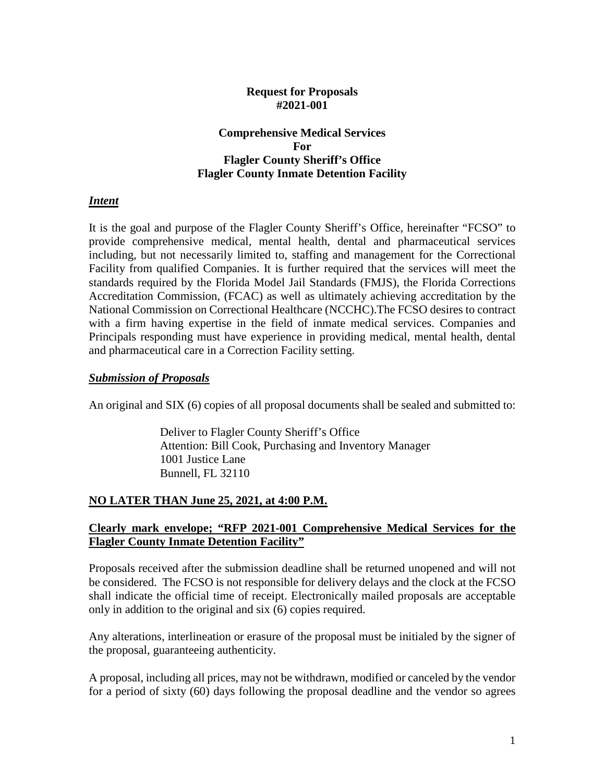### **Request for Proposals #2021-001**

### **Comprehensive Medical Services For Flagler County Sheriff's Office Flagler County Inmate Detention Facility**

### *Intent*

It is the goal and purpose of the Flagler County Sheriff's Office, hereinafter "FCSO" to provide comprehensive medical, mental health, dental and pharmaceutical services including, but not necessarily limited to, staffing and management for the Correctional Facility from qualified Companies. It is further required that the services will meet the standards required by the Florida Model Jail Standards (FMJS), the Florida Corrections Accreditation Commission, (FCAC) as well as ultimately achieving accreditation by the National Commission on Correctional Healthcare (NCCHC).The FCSO desires to contract with a firm having expertise in the field of inmate medical services. Companies and Principals responding must have experience in providing medical, mental health, dental and pharmaceutical care in a Correction Facility setting.

### *Submission of Proposals*

An original and SIX (6) copies of all proposal documents shall be sealed and submitted to:

Deliver to Flagler County Sheriff's Office Attention: Bill Cook, Purchasing and Inventory Manager 1001 Justice Lane Bunnell, FL 32110

### **NO LATER THAN June 25, 2021, at 4:00 P.M.**

### **Clearly mark envelope; "RFP 2021-001 Comprehensive Medical Services for the Flagler County Inmate Detention Facility"**

Proposals received after the submission deadline shall be returned unopened and will not be considered. The FCSO is not responsible for delivery delays and the clock at the FCSO shall indicate the official time of receipt. Electronically mailed proposals are acceptable only in addition to the original and six (6) copies required.

Any alterations, interlineation or erasure of the proposal must be initialed by the signer of the proposal, guaranteeing authenticity.

A proposal, including all prices, may not be withdrawn, modified or canceled by the vendor for a period of sixty (60) days following the proposal deadline and the vendor so agrees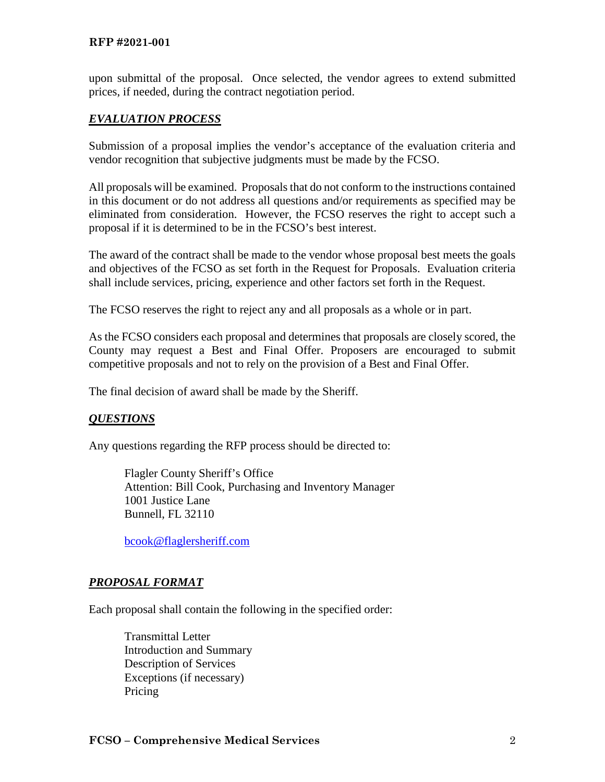#### **RFP #2021-001**

upon submittal of the proposal. Once selected, the vendor agrees to extend submitted prices, if needed, during the contract negotiation period.

### *EVALUATION PROCESS*

Submission of a proposal implies the vendor's acceptance of the evaluation criteria and vendor recognition that subjective judgments must be made by the FCSO.

All proposals will be examined. Proposals that do not conform to the instructions contained in this document or do not address all questions and/or requirements as specified may be eliminated from consideration. However, the FCSO reserves the right to accept such a proposal if it is determined to be in the FCSO's best interest.

The award of the contract shall be made to the vendor whose proposal best meets the goals and objectives of the FCSO as set forth in the Request for Proposals. Evaluation criteria shall include services, pricing, experience and other factors set forth in the Request.

The FCSO reserves the right to reject any and all proposals as a whole or in part.

As the FCSO considers each proposal and determines that proposals are closely scored, the County may request a Best and Final Offer. Proposers are encouraged to submit competitive proposals and not to rely on the provision of a Best and Final Offer.

The final decision of award shall be made by the Sheriff.

### *QUESTIONS*

Any questions regarding the RFP process should be directed to:

 Flagler County Sheriff's Office Attention: Bill Cook, Purchasing and Inventory Manager 1001 Justice Lane Bunnell, FL 32110

[bcook@flaglersheriff.com](mailto:bcook@flaglersheriff.com)

### *PROPOSAL FORMAT*

Each proposal shall contain the following in the specified order:

Transmittal Letter Introduction and Summary Description of Services Exceptions (if necessary) Pricing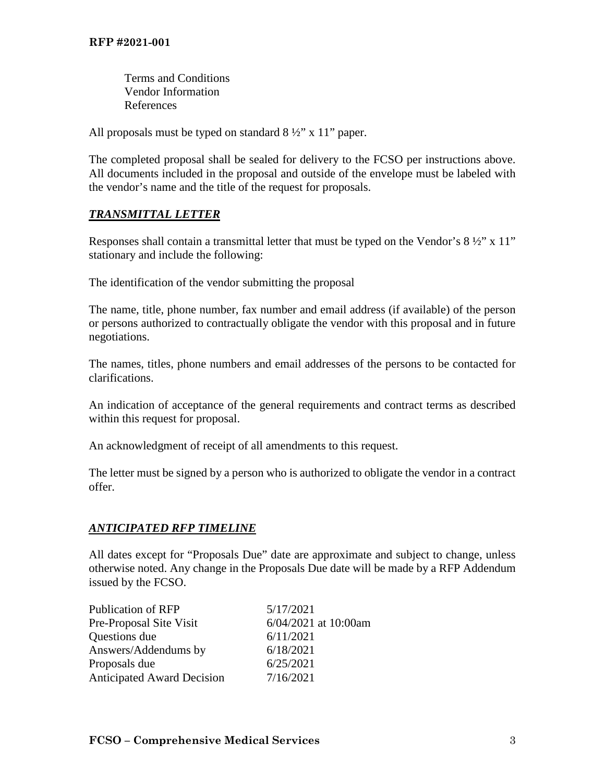Terms and Conditions Vendor Information References

All proposals must be typed on standard  $8\frac{1}{2}$ " x 11" paper.

The completed proposal shall be sealed for delivery to the FCSO per instructions above. All documents included in the proposal and outside of the envelope must be labeled with the vendor's name and the title of the request for proposals.

# *TRANSMITTAL LETTER*

Responses shall contain a transmittal letter that must be typed on the Vendor's  $8\frac{1}{2}$ " x 11" stationary and include the following:

The identification of the vendor submitting the proposal

The name, title, phone number, fax number and email address (if available) of the person or persons authorized to contractually obligate the vendor with this proposal and in future negotiations.

The names, titles, phone numbers and email addresses of the persons to be contacted for clarifications.

An indication of acceptance of the general requirements and contract terms as described within this request for proposal.

An acknowledgment of receipt of all amendments to this request.

The letter must be signed by a person who is authorized to obligate the vendor in a contract offer.

# *ANTICIPATED RFP TIMELINE*

All dates except for "Proposals Due" date are approximate and subject to change, unless otherwise noted. Any change in the Proposals Due date will be made by a RFP Addendum issued by the FCSO.

| <b>Publication of RFP</b>  | 5/17/2021            |
|----------------------------|----------------------|
| Pre-Proposal Site Visit    | 6/04/2021 at 10:00am |
| Questions due              | 6/11/2021            |
| Answers/Addendums by       | 6/18/2021            |
| Proposals due              | 6/25/2021            |
| Anticipated Award Decision | 7/16/2021            |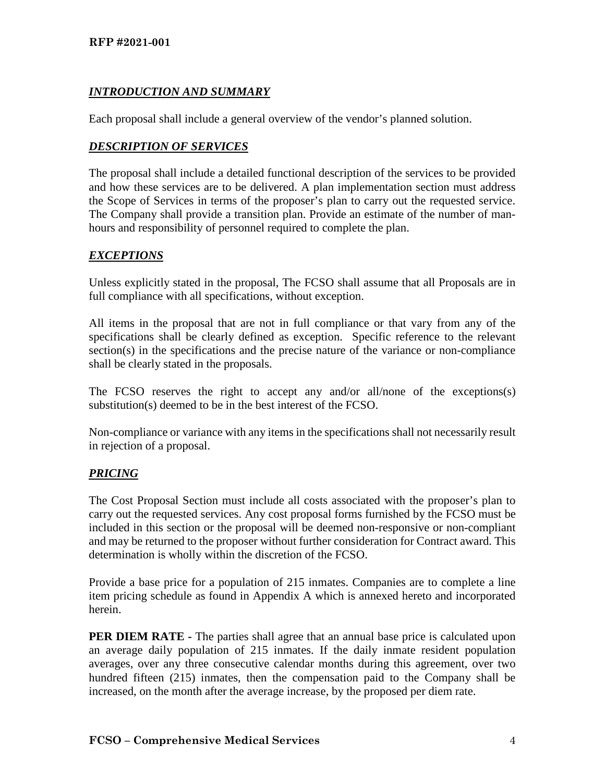# *INTRODUCTION AND SUMMARY*

Each proposal shall include a general overview of the vendor's planned solution.

# *DESCRIPTION OF SERVICES*

The proposal shall include a detailed functional description of the services to be provided and how these services are to be delivered. A plan implementation section must address the Scope of Services in terms of the proposer's plan to carry out the requested service. The Company shall provide a transition plan. Provide an estimate of the number of manhours and responsibility of personnel required to complete the plan.

# *EXCEPTIONS*

Unless explicitly stated in the proposal, The FCSO shall assume that all Proposals are in full compliance with all specifications, without exception.

All items in the proposal that are not in full compliance or that vary from any of the specifications shall be clearly defined as exception. Specific reference to the relevant section(s) in the specifications and the precise nature of the variance or non-compliance shall be clearly stated in the proposals.

The FCSO reserves the right to accept any and/or all/none of the exceptions(s) substitution(s) deemed to be in the best interest of the FCSO.

Non-compliance or variance with any items in the specifications shall not necessarily result in rejection of a proposal.

# *PRICING*

The Cost Proposal Section must include all costs associated with the proposer's plan to carry out the requested services. Any cost proposal forms furnished by the FCSO must be included in this section or the proposal will be deemed non-responsive or non-compliant and may be returned to the proposer without further consideration for Contract award. This determination is wholly within the discretion of the FCSO.

Provide a base price for a population of 215 inmates. Companies are to complete a line item pricing schedule as found in Appendix A which is annexed hereto and incorporated herein.

**PER DIEM RATE -** The parties shall agree that an annual base price is calculated upon an average daily population of 215 inmates. If the daily inmate resident population averages, over any three consecutive calendar months during this agreement, over two hundred fifteen (215) inmates, then the compensation paid to the Company shall be increased, on the month after the average increase, by the proposed per diem rate.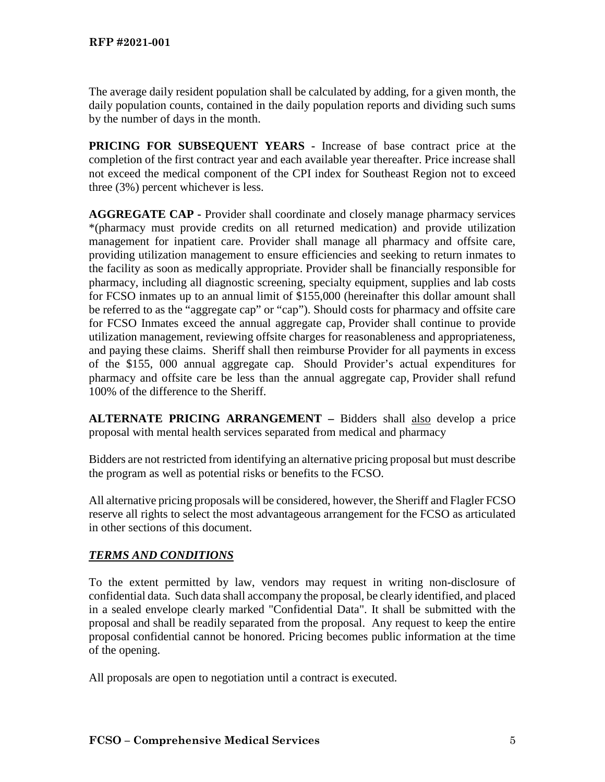The average daily resident population shall be calculated by adding, for a given month, the daily population counts, contained in the daily population reports and dividing such sums by the number of days in the month.

**PRICING FOR SUBSEQUENT YEARS -** Increase of base contract price at the completion of the first contract year and each available year thereafter. Price increase shall not exceed the medical component of the CPI index for Southeast Region not to exceed three (3%) percent whichever is less.

**AGGREGATE CAP -** Provider shall coordinate and closely manage pharmacy services \*(pharmacy must provide credits on all returned medication) and provide utilization management for inpatient care. Provider shall manage all pharmacy and offsite care, providing utilization management to ensure efficiencies and seeking to return inmates to the facility as soon as medically appropriate. Provider shall be financially responsible for pharmacy, including all diagnostic screening, specialty equipment, supplies and lab costs for FCSO inmates up to an annual limit of \$155,000 (hereinafter this dollar amount shall be referred to as the "aggregate cap" or "cap"). Should costs for pharmacy and offsite care for FCSO Inmates exceed the annual aggregate cap, Provider shall continue to provide utilization management, reviewing offsite charges for reasonableness and appropriateness, and paying these claims. Sheriff shall then reimburse Provider for all payments in excess of the \$155, 000 annual aggregate cap. Should Provider's actual expenditures for pharmacy and offsite care be less than the annual aggregate cap, Provider shall refund 100% of the difference to the Sheriff.

**ALTERNATE PRICING ARRANGEMENT –** Bidders shall also develop a price proposal with mental health services separated from medical and pharmacy

Bidders are not restricted from identifying an alternative pricing proposal but must describe the program as well as potential risks or benefits to the FCSO.

All alternative pricing proposals will be considered, however, the Sheriff and Flagler FCSO reserve all rights to select the most advantageous arrangement for the FCSO as articulated in other sections of this document.

# *TERMS AND CONDITIONS*

To the extent permitted by law, vendors may request in writing non-disclosure of confidential data. Such data shall accompany the proposal, be clearly identified, and placed in a sealed envelope clearly marked "Confidential Data". It shall be submitted with the proposal and shall be readily separated from the proposal. Any request to keep the entire proposal confidential cannot be honored. Pricing becomes public information at the time of the opening.

All proposals are open to negotiation until a contract is executed.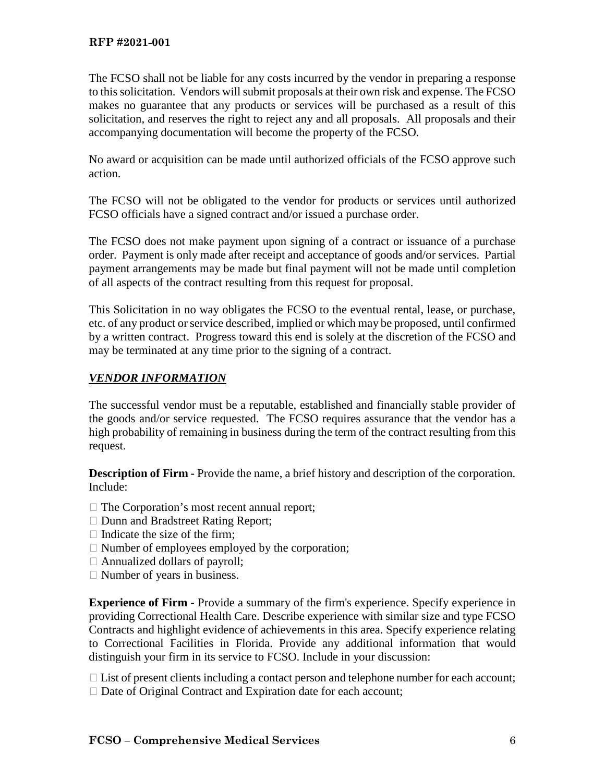The FCSO shall not be liable for any costs incurred by the vendor in preparing a response to this solicitation. Vendors will submit proposals at their own risk and expense. The FCSO makes no guarantee that any products or services will be purchased as a result of this solicitation, and reserves the right to reject any and all proposals. All proposals and their accompanying documentation will become the property of the FCSO.

No award or acquisition can be made until authorized officials of the FCSO approve such action.

The FCSO will not be obligated to the vendor for products or services until authorized FCSO officials have a signed contract and/or issued a purchase order.

The FCSO does not make payment upon signing of a contract or issuance of a purchase order. Payment is only made after receipt and acceptance of goods and/or services. Partial payment arrangements may be made but final payment will not be made until completion of all aspects of the contract resulting from this request for proposal.

This Solicitation in no way obligates the FCSO to the eventual rental, lease, or purchase, etc. of any product or service described, implied or which may be proposed, until confirmed by a written contract. Progress toward this end is solely at the discretion of the FCSO and may be terminated at any time prior to the signing of a contract.

### *VENDOR INFORMATION*

The successful vendor must be a reputable, established and financially stable provider of the goods and/or service requested. The FCSO requires assurance that the vendor has a high probability of remaining in business during the term of the contract resulting from this request.

**Description of Firm -** Provide the name, a brief history and description of the corporation. Include:

- $\Box$  The Corporation's most recent annual report;
- □ Dunn and Bradstreet Rating Report;
- $\Box$  Indicate the size of the firm;
- $\Box$  Number of employees employed by the corporation;
- $\Box$  Annualized dollars of payroll;
- $\Box$  Number of years in business.

**Experience of Firm -** Provide a summary of the firm's experience. Specify experience in providing Correctional Health Care. Describe experience with similar size and type FCSO Contracts and highlight evidence of achievements in this area. Specify experience relating to Correctional Facilities in Florida. Provide any additional information that would distinguish your firm in its service to FCSO. Include in your discussion:

 $\Box$  List of present clients including a contact person and telephone number for each account;  $\Box$  Date of Original Contract and Expiration date for each account;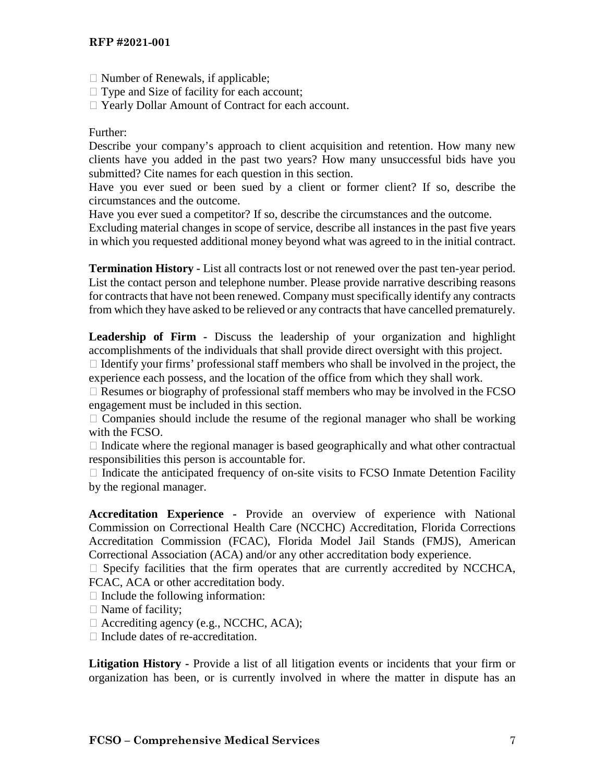- $\Box$  Number of Renewals, if applicable;
- $\Box$  Type and Size of facility for each account;
- □ Yearly Dollar Amount of Contract for each account.

### Further:

Describe your company's approach to client acquisition and retention. How many new clients have you added in the past two years? How many unsuccessful bids have you submitted? Cite names for each question in this section.

Have you ever sued or been sued by a client or former client? If so, describe the circumstances and the outcome.

Have you ever sued a competitor? If so, describe the circumstances and the outcome.

Excluding material changes in scope of service, describe all instances in the past five years in which you requested additional money beyond what was agreed to in the initial contract.

**Termination History -** List all contracts lost or not renewed over the past ten-year period. List the contact person and telephone number. Please provide narrative describing reasons for contracts that have not been renewed. Company must specifically identify any contracts from which they have asked to be relieved or any contracts that have cancelled prematurely.

**Leadership of Firm -** Discuss the leadership of your organization and highlight accomplishments of the individuals that shall provide direct oversight with this project.

 $\Box$  Identify your firms' professional staff members who shall be involved in the project, the experience each possess, and the location of the office from which they shall work.

 $\Box$  Resumes or biography of professional staff members who may be involved in the FCSO engagement must be included in this section.

 $\Box$  Companies should include the resume of the regional manager who shall be working with the FCSO.

 $\Box$  Indicate where the regional manager is based geographically and what other contractual responsibilities this person is accountable for.

 $\Box$  Indicate the anticipated frequency of on-site visits to FCSO Inmate Detention Facility by the regional manager.

**Accreditation Experience -** Provide an overview of experience with National Commission on Correctional Health Care (NCCHC) Accreditation, Florida Corrections Accreditation Commission (FCAC), Florida Model Jail Stands (FMJS), American Correctional Association (ACA) and/or any other accreditation body experience.

 $\Box$  Specify facilities that the firm operates that are currently accredited by NCCHCA, FCAC, ACA or other accreditation body.

- $\Box$  Include the following information:
- $\Box$  Name of facility;
- $\Box$  Accrediting agency (e.g., NCCHC, ACA);
- $\Box$  Include dates of re-accreditation.

**Litigation History -** Provide a list of all litigation events or incidents that your firm or organization has been, or is currently involved in where the matter in dispute has an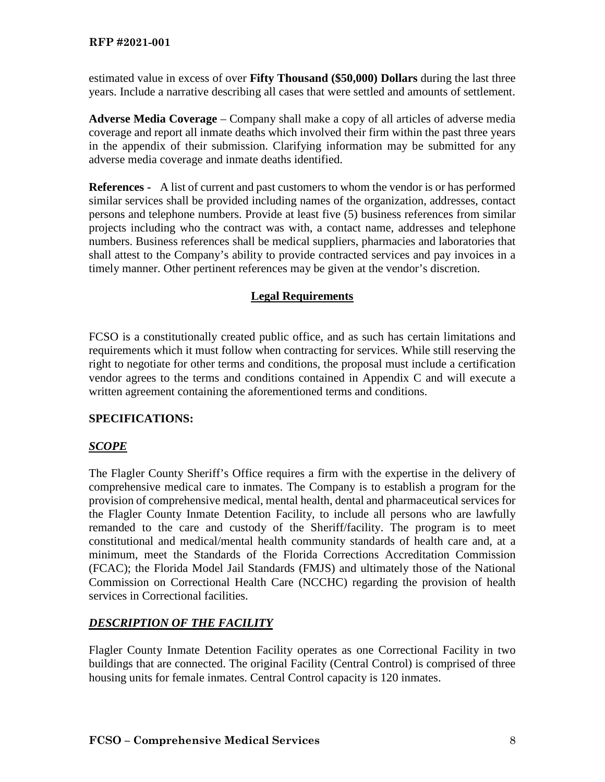estimated value in excess of over **Fifty Thousand (\$50,000) Dollars** during the last three years. Include a narrative describing all cases that were settled and amounts of settlement.

**Adverse Media Coverage** – Company shall make a copy of all articles of adverse media coverage and report all inmate deaths which involved their firm within the past three years in the appendix of their submission. Clarifying information may be submitted for any adverse media coverage and inmate deaths identified.

**References -** A list of current and past customers to whom the vendor is or has performed similar services shall be provided including names of the organization, addresses, contact persons and telephone numbers. Provide at least five (5) business references from similar projects including who the contract was with, a contact name, addresses and telephone numbers. Business references shall be medical suppliers, pharmacies and laboratories that shall attest to the Company's ability to provide contracted services and pay invoices in a timely manner. Other pertinent references may be given at the vendor's discretion.

# **Legal Requirements**

FCSO is a constitutionally created public office, and as such has certain limitations and requirements which it must follow when contracting for services. While still reserving the right to negotiate for other terms and conditions, the proposal must include a certification vendor agrees to the terms and conditions contained in Appendix C and will execute a written agreement containing the aforementioned terms and conditions.

# **SPECIFICATIONS:**

# *SCOPE*

The Flagler County Sheriff's Office requires a firm with the expertise in the delivery of comprehensive medical care to inmates. The Company is to establish a program for the provision of comprehensive medical, mental health, dental and pharmaceutical services for the Flagler County Inmate Detention Facility, to include all persons who are lawfully remanded to the care and custody of the Sheriff/facility. The program is to meet constitutional and medical/mental health community standards of health care and, at a minimum, meet the Standards of the Florida Corrections Accreditation Commission (FCAC); the Florida Model Jail Standards (FMJS) and ultimately those of the National Commission on Correctional Health Care (NCCHC) regarding the provision of health services in Correctional facilities.

# *DESCRIPTION OF THE FACILITY*

Flagler County Inmate Detention Facility operates as one Correctional Facility in two buildings that are connected. The original Facility (Central Control) is comprised of three housing units for female inmates. Central Control capacity is 120 inmates.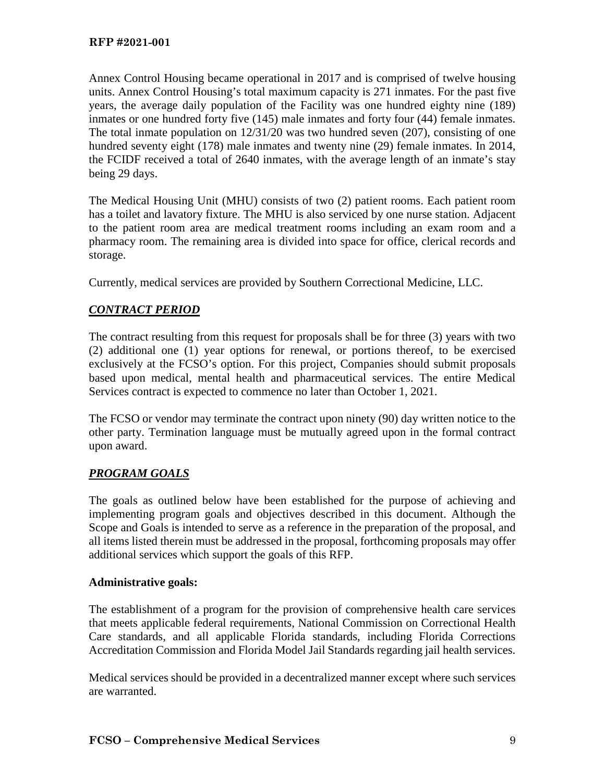Annex Control Housing became operational in 2017 and is comprised of twelve housing units. Annex Control Housing's total maximum capacity is 271 inmates. For the past five years, the average daily population of the Facility was one hundred eighty nine (189) inmates or one hundred forty five (145) male inmates and forty four (44) female inmates. The total inmate population on 12/31/20 was two hundred seven (207), consisting of one hundred seventy eight (178) male inmates and twenty nine (29) female inmates. In 2014, the FCIDF received a total of 2640 inmates, with the average length of an inmate's stay being 29 days.

The Medical Housing Unit (MHU) consists of two (2) patient rooms. Each patient room has a toilet and lavatory fixture. The MHU is also serviced by one nurse station. Adjacent to the patient room area are medical treatment rooms including an exam room and a pharmacy room. The remaining area is divided into space for office, clerical records and storage.

Currently, medical services are provided by Southern Correctional Medicine, LLC.

# *CONTRACT PERIOD*

The contract resulting from this request for proposals shall be for three (3) years with two (2) additional one (1) year options for renewal, or portions thereof, to be exercised exclusively at the FCSO's option. For this project, Companies should submit proposals based upon medical, mental health and pharmaceutical services. The entire Medical Services contract is expected to commence no later than October 1, 2021.

The FCSO or vendor may terminate the contract upon ninety (90) day written notice to the other party. Termination language must be mutually agreed upon in the formal contract upon award.

# *PROGRAM GOALS*

The goals as outlined below have been established for the purpose of achieving and implementing program goals and objectives described in this document. Although the Scope and Goals is intended to serve as a reference in the preparation of the proposal, and all items listed therein must be addressed in the proposal, forthcoming proposals may offer additional services which support the goals of this RFP.

# **Administrative goals:**

The establishment of a program for the provision of comprehensive health care services that meets applicable federal requirements, National Commission on Correctional Health Care standards, and all applicable Florida standards, including Florida Corrections Accreditation Commission and Florida Model Jail Standards regarding jail health services.

Medical services should be provided in a decentralized manner except where such services are warranted.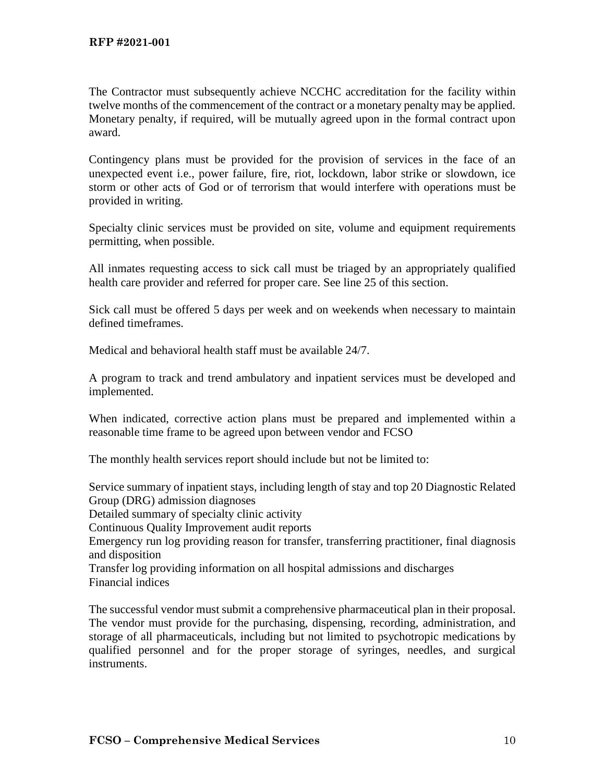The Contractor must subsequently achieve NCCHC accreditation for the facility within twelve months of the commencement of the contract or a monetary penalty may be applied. Monetary penalty, if required, will be mutually agreed upon in the formal contract upon award.

Contingency plans must be provided for the provision of services in the face of an unexpected event i.e., power failure, fire, riot, lockdown, labor strike or slowdown, ice storm or other acts of God or of terrorism that would interfere with operations must be provided in writing.

Specialty clinic services must be provided on site, volume and equipment requirements permitting, when possible.

All inmates requesting access to sick call must be triaged by an appropriately qualified health care provider and referred for proper care. See line 25 of this section.

Sick call must be offered 5 days per week and on weekends when necessary to maintain defined timeframes.

Medical and behavioral health staff must be available 24/7.

A program to track and trend ambulatory and inpatient services must be developed and implemented.

When indicated, corrective action plans must be prepared and implemented within a reasonable time frame to be agreed upon between vendor and FCSO

The monthly health services report should include but not be limited to:

Service summary of inpatient stays, including length of stay and top 20 Diagnostic Related Group (DRG) admission diagnoses

Detailed summary of specialty clinic activity

Continuous Quality Improvement audit reports

Emergency run log providing reason for transfer, transferring practitioner, final diagnosis and disposition

Transfer log providing information on all hospital admissions and discharges Financial indices

The successful vendor must submit a comprehensive pharmaceutical plan in their proposal. The vendor must provide for the purchasing, dispensing, recording, administration, and storage of all pharmaceuticals, including but not limited to psychotropic medications by qualified personnel and for the proper storage of syringes, needles, and surgical instruments.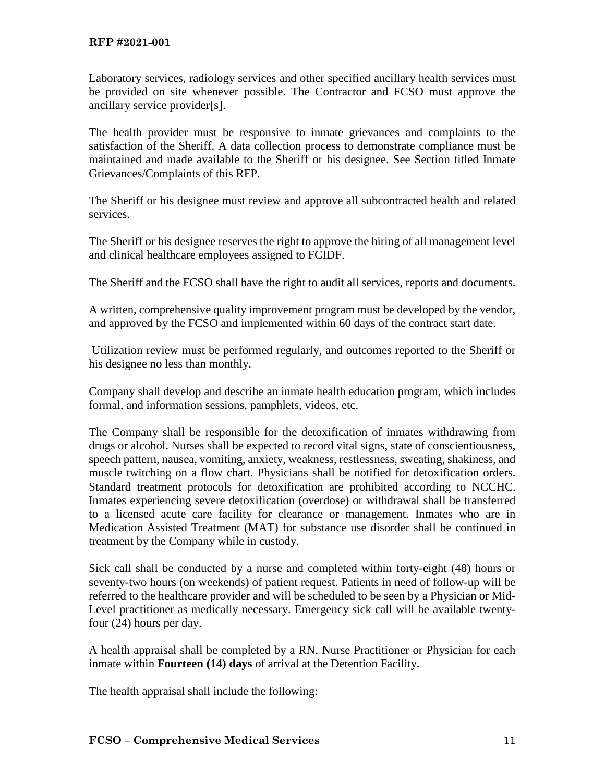Laboratory services, radiology services and other specified ancillary health services must be provided on site whenever possible. The Contractor and FCSO must approve the ancillary service provider[s].

The health provider must be responsive to inmate grievances and complaints to the satisfaction of the Sheriff. A data collection process to demonstrate compliance must be maintained and made available to the Sheriff or his designee. See Section titled Inmate Grievances/Complaints of this RFP.

The Sheriff or his designee must review and approve all subcontracted health and related services.

The Sheriff or his designee reserves the right to approve the hiring of all management level and clinical healthcare employees assigned to FCIDF.

The Sheriff and the FCSO shall have the right to audit all services, reports and documents.

A written, comprehensive quality improvement program must be developed by the vendor, and approved by the FCSO and implemented within 60 days of the contract start date.

Utilization review must be performed regularly, and outcomes reported to the Sheriff or his designee no less than monthly.

Company shall develop and describe an inmate health education program, which includes formal, and information sessions, pamphlets, videos, etc.

The Company shall be responsible for the detoxification of inmates withdrawing from drugs or alcohol. Nurses shall be expected to record vital signs, state of conscientiousness, speech pattern, nausea, vomiting, anxiety, weakness, restlessness, sweating, shakiness, and muscle twitching on a flow chart. Physicians shall be notified for detoxification orders. Standard treatment protocols for detoxification are prohibited according to NCCHC. Inmates experiencing severe detoxification (overdose) or withdrawal shall be transferred to a licensed acute care facility for clearance or management. Inmates who are in Medication Assisted Treatment (MAT) for substance use disorder shall be continued in treatment by the Company while in custody.

Sick call shall be conducted by a nurse and completed within forty-eight (48) hours or seventy-two hours (on weekends) of patient request. Patients in need of follow-up will be referred to the healthcare provider and will be scheduled to be seen by a Physician or Mid-Level practitioner as medically necessary. Emergency sick call will be available twentyfour (24) hours per day.

A health appraisal shall be completed by a RN, Nurse Practitioner or Physician for each inmate within **Fourteen (14) days** of arrival at the Detention Facility.

The health appraisal shall include the following: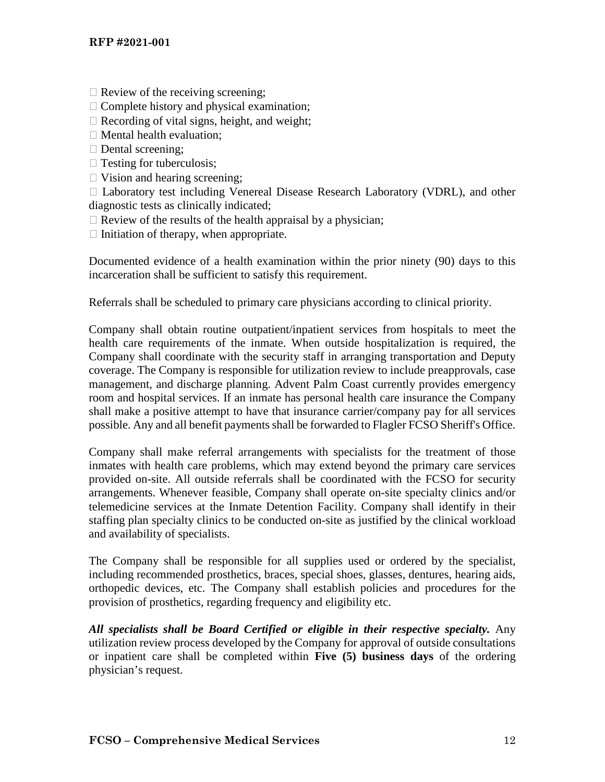- $\Box$  Review of the receiving screening;
- $\Box$  Complete history and physical examination;
- $\Box$  Recording of vital signs, height, and weight;
- $\Box$  Mental health evaluation;
- $\Box$  Dental screening;
- $\Box$  Testing for tuberculosis;
- $\Box$  Vision and hearing screening;

 $\Box$  Laboratory test including Venereal Disease Research Laboratory (VDRL), and other diagnostic tests as clinically indicated;

- $\Box$  Review of the results of the health appraisal by a physician;
- $\Box$  Initiation of therapy, when appropriate.

Documented evidence of a health examination within the prior ninety (90) days to this incarceration shall be sufficient to satisfy this requirement.

Referrals shall be scheduled to primary care physicians according to clinical priority.

Company shall obtain routine outpatient/inpatient services from hospitals to meet the health care requirements of the inmate. When outside hospitalization is required, the Company shall coordinate with the security staff in arranging transportation and Deputy coverage. The Company is responsible for utilization review to include preapprovals, case management, and discharge planning. Advent Palm Coast currently provides emergency room and hospital services. If an inmate has personal health care insurance the Company shall make a positive attempt to have that insurance carrier/company pay for all services possible. Any and all benefit payments shall be forwarded to Flagler FCSO Sheriff's Office.

Company shall make referral arrangements with specialists for the treatment of those inmates with health care problems, which may extend beyond the primary care services provided on-site. All outside referrals shall be coordinated with the FCSO for security arrangements. Whenever feasible, Company shall operate on-site specialty clinics and/or telemedicine services at the Inmate Detention Facility. Company shall identify in their staffing plan specialty clinics to be conducted on-site as justified by the clinical workload and availability of specialists.

The Company shall be responsible for all supplies used or ordered by the specialist, including recommended prosthetics, braces, special shoes, glasses, dentures, hearing aids, orthopedic devices, etc. The Company shall establish policies and procedures for the provision of prosthetics, regarding frequency and eligibility etc.

All specialists shall be Board Certified or eligible in their respective specialty. Any utilization review process developed by the Company for approval of outside consultations or inpatient care shall be completed within **Five (5) business days** of the ordering physician's request.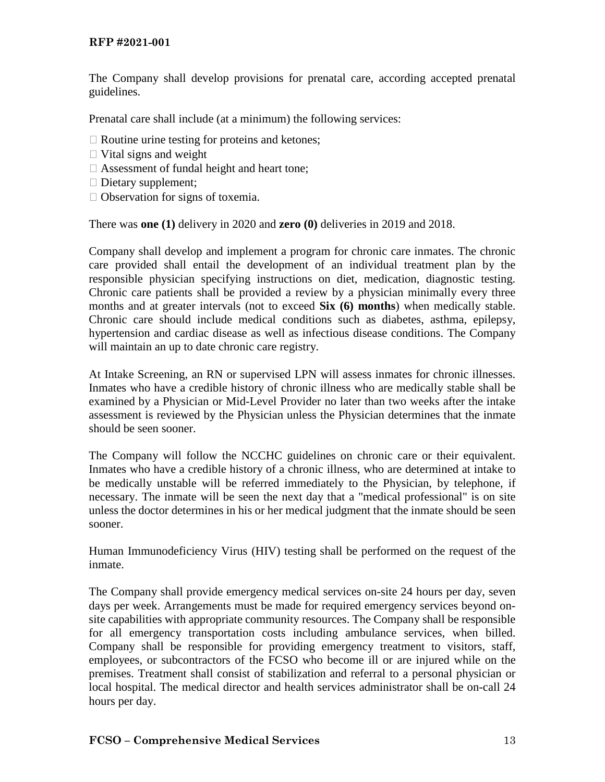The Company shall develop provisions for prenatal care, according accepted prenatal guidelines.

Prenatal care shall include (at a minimum) the following services:

- $\Box$  Routine urine testing for proteins and ketones;
- $\Box$  Vital signs and weight
- $\Box$  Assessment of fundal height and heart tone;
- $\Box$  Dietary supplement;
- $\Box$  Observation for signs of toxemia.

There was **one (1)** delivery in 2020 and **zero (0)** deliveries in 2019 and 2018.

Company shall develop and implement a program for chronic care inmates. The chronic care provided shall entail the development of an individual treatment plan by the responsible physician specifying instructions on diet, medication, diagnostic testing. Chronic care patients shall be provided a review by a physician minimally every three months and at greater intervals (not to exceed **Six (6) months**) when medically stable. Chronic care should include medical conditions such as diabetes, asthma, epilepsy, hypertension and cardiac disease as well as infectious disease conditions. The Company will maintain an up to date chronic care registry.

At Intake Screening, an RN or supervised LPN will assess inmates for chronic illnesses. Inmates who have a credible history of chronic illness who are medically stable shall be examined by a Physician or Mid-Level Provider no later than two weeks after the intake assessment is reviewed by the Physician unless the Physician determines that the inmate should be seen sooner.

The Company will follow the NCCHC guidelines on chronic care or their equivalent. Inmates who have a credible history of a chronic illness, who are determined at intake to be medically unstable will be referred immediately to the Physician, by telephone, if necessary. The inmate will be seen the next day that a "medical professional" is on site unless the doctor determines in his or her medical judgment that the inmate should be seen sooner.

Human Immunodeficiency Virus (HIV) testing shall be performed on the request of the inmate.

The Company shall provide emergency medical services on-site 24 hours per day, seven days per week. Arrangements must be made for required emergency services beyond onsite capabilities with appropriate community resources. The Company shall be responsible for all emergency transportation costs including ambulance services, when billed. Company shall be responsible for providing emergency treatment to visitors, staff, employees, or subcontractors of the FCSO who become ill or are injured while on the premises. Treatment shall consist of stabilization and referral to a personal physician or local hospital. The medical director and health services administrator shall be on-call 24 hours per day.

#### **FCSO – Comprehensive Medical Services** 13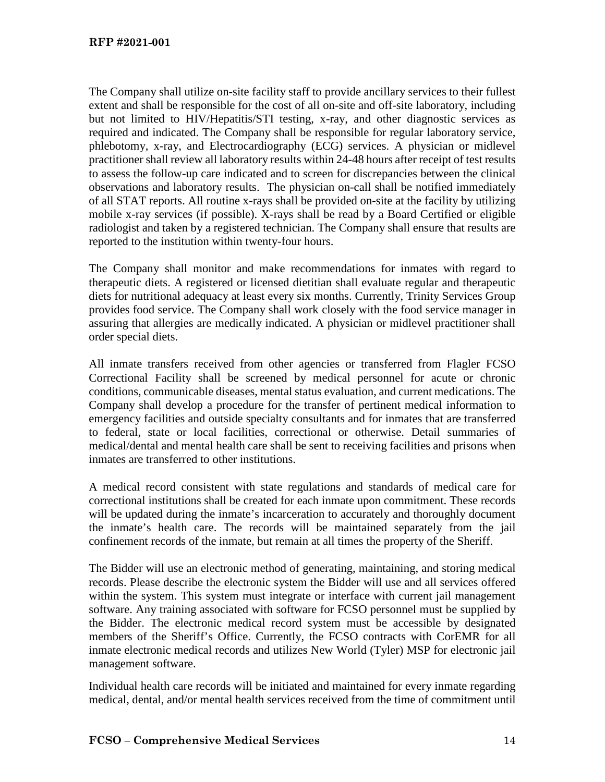The Company shall utilize on-site facility staff to provide ancillary services to their fullest extent and shall be responsible for the cost of all on-site and off-site laboratory, including but not limited to HIV/Hepatitis/STI testing, x-ray, and other diagnostic services as required and indicated. The Company shall be responsible for regular laboratory service, phlebotomy, x-ray, and Electrocardiography (ECG) services. A physician or midlevel practitioner shall review all laboratory results within 24-48 hours after receipt of test results to assess the follow-up care indicated and to screen for discrepancies between the clinical observations and laboratory results. The physician on-call shall be notified immediately of all STAT reports. All routine x-rays shall be provided on-site at the facility by utilizing mobile x-ray services (if possible). X-rays shall be read by a Board Certified or eligible radiologist and taken by a registered technician. The Company shall ensure that results are reported to the institution within twenty-four hours.

The Company shall monitor and make recommendations for inmates with regard to therapeutic diets. A registered or licensed dietitian shall evaluate regular and therapeutic diets for nutritional adequacy at least every six months. Currently, Trinity Services Group provides food service. The Company shall work closely with the food service manager in assuring that allergies are medically indicated. A physician or midlevel practitioner shall order special diets.

All inmate transfers received from other agencies or transferred from Flagler FCSO Correctional Facility shall be screened by medical personnel for acute or chronic conditions, communicable diseases, mental status evaluation, and current medications. The Company shall develop a procedure for the transfer of pertinent medical information to emergency facilities and outside specialty consultants and for inmates that are transferred to federal, state or local facilities, correctional or otherwise. Detail summaries of medical/dental and mental health care shall be sent to receiving facilities and prisons when inmates are transferred to other institutions.

A medical record consistent with state regulations and standards of medical care for correctional institutions shall be created for each inmate upon commitment. These records will be updated during the inmate's incarceration to accurately and thoroughly document the inmate's health care. The records will be maintained separately from the jail confinement records of the inmate, but remain at all times the property of the Sheriff.

The Bidder will use an electronic method of generating, maintaining, and storing medical records. Please describe the electronic system the Bidder will use and all services offered within the system. This system must integrate or interface with current jail management software. Any training associated with software for FCSO personnel must be supplied by the Bidder. The electronic medical record system must be accessible by designated members of the Sheriff's Office. Currently, the FCSO contracts with CorEMR for all inmate electronic medical records and utilizes New World (Tyler) MSP for electronic jail management software.

Individual health care records will be initiated and maintained for every inmate regarding medical, dental, and/or mental health services received from the time of commitment until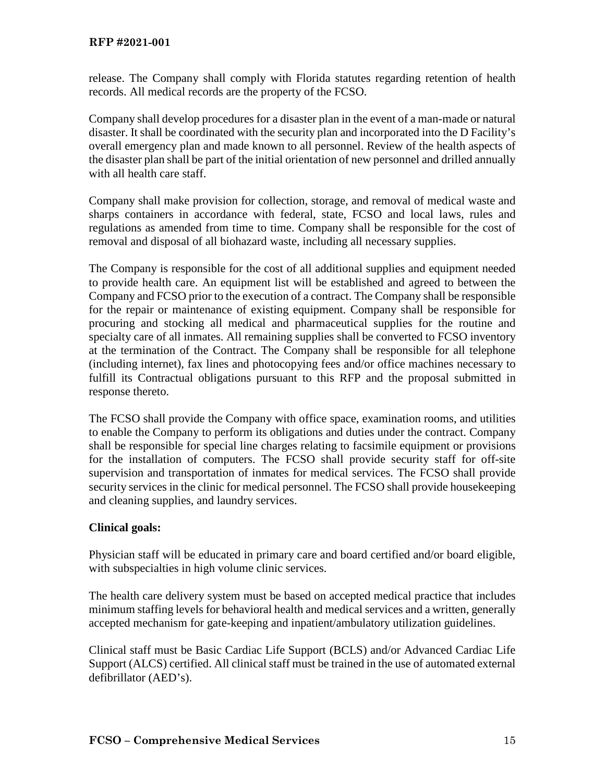release. The Company shall comply with Florida statutes regarding retention of health records. All medical records are the property of the FCSO.

Company shall develop procedures for a disaster plan in the event of a man-made or natural disaster. It shall be coordinated with the security plan and incorporated into the D Facility's overall emergency plan and made known to all personnel. Review of the health aspects of the disaster plan shall be part of the initial orientation of new personnel and drilled annually with all health care staff.

Company shall make provision for collection, storage, and removal of medical waste and sharps containers in accordance with federal, state, FCSO and local laws, rules and regulations as amended from time to time. Company shall be responsible for the cost of removal and disposal of all biohazard waste, including all necessary supplies.

The Company is responsible for the cost of all additional supplies and equipment needed to provide health care. An equipment list will be established and agreed to between the Company and FCSO prior to the execution of a contract. The Company shall be responsible for the repair or maintenance of existing equipment. Company shall be responsible for procuring and stocking all medical and pharmaceutical supplies for the routine and specialty care of all inmates. All remaining supplies shall be converted to FCSO inventory at the termination of the Contract. The Company shall be responsible for all telephone (including internet), fax lines and photocopying fees and/or office machines necessary to fulfill its Contractual obligations pursuant to this RFP and the proposal submitted in response thereto.

The FCSO shall provide the Company with office space, examination rooms, and utilities to enable the Company to perform its obligations and duties under the contract. Company shall be responsible for special line charges relating to facsimile equipment or provisions for the installation of computers. The FCSO shall provide security staff for off-site supervision and transportation of inmates for medical services. The FCSO shall provide security services in the clinic for medical personnel. The FCSO shall provide housekeeping and cleaning supplies, and laundry services.

# **Clinical goals:**

Physician staff will be educated in primary care and board certified and/or board eligible, with subspecialties in high volume clinic services.

The health care delivery system must be based on accepted medical practice that includes minimum staffing levels for behavioral health and medical services and a written, generally accepted mechanism for gate-keeping and inpatient/ambulatory utilization guidelines.

Clinical staff must be Basic Cardiac Life Support (BCLS) and/or Advanced Cardiac Life Support (ALCS) certified. All clinical staff must be trained in the use of automated external defibrillator (AED's).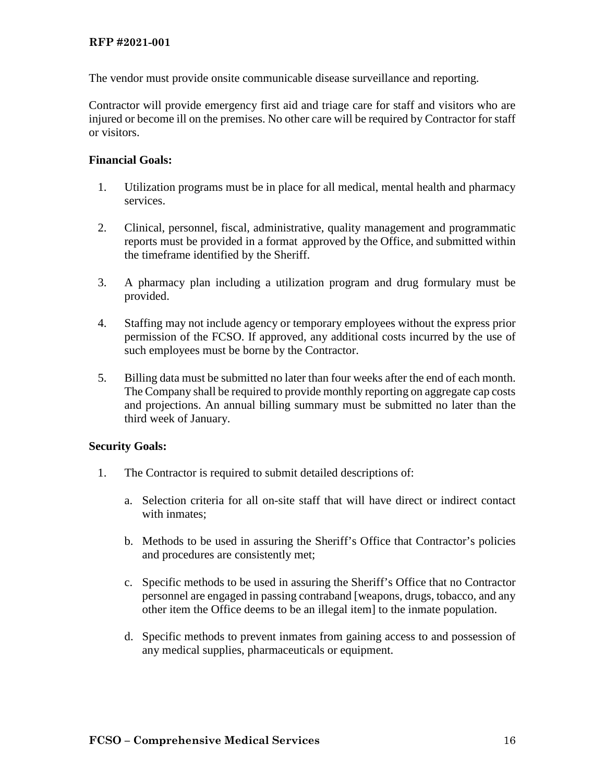#### **RFP #2021-001**

The vendor must provide onsite communicable disease surveillance and reporting.

Contractor will provide emergency first aid and triage care for staff and visitors who are injured or become ill on the premises. No other care will be required by Contractor for staff or visitors.

### **Financial Goals:**

- 1. Utilization programs must be in place for all medical, mental health and pharmacy services.
- 2. Clinical, personnel, fiscal, administrative, quality management and programmatic reports must be provided in a format approved by the Office, and submitted within the timeframe identified by the Sheriff.
- 3. A pharmacy plan including a utilization program and drug formulary must be provided.
- 4. Staffing may not include agency or temporary employees without the express prior permission of the FCSO. If approved, any additional costs incurred by the use of such employees must be borne by the Contractor.
- 5. Billing data must be submitted no later than four weeks after the end of each month. The Company shall be required to provide monthly reporting on aggregate cap costs and projections. An annual billing summary must be submitted no later than the third week of January.

### **Security Goals:**

- 1. The Contractor is required to submit detailed descriptions of:
	- a. Selection criteria for all on-site staff that will have direct or indirect contact with inmates;
	- b. Methods to be used in assuring the Sheriff's Office that Contractor's policies and procedures are consistently met;
	- c. Specific methods to be used in assuring the Sheriff's Office that no Contractor personnel are engaged in passing contraband [weapons, drugs, tobacco, and any other item the Office deems to be an illegal item] to the inmate population.
	- d. Specific methods to prevent inmates from gaining access to and possession of any medical supplies, pharmaceuticals or equipment.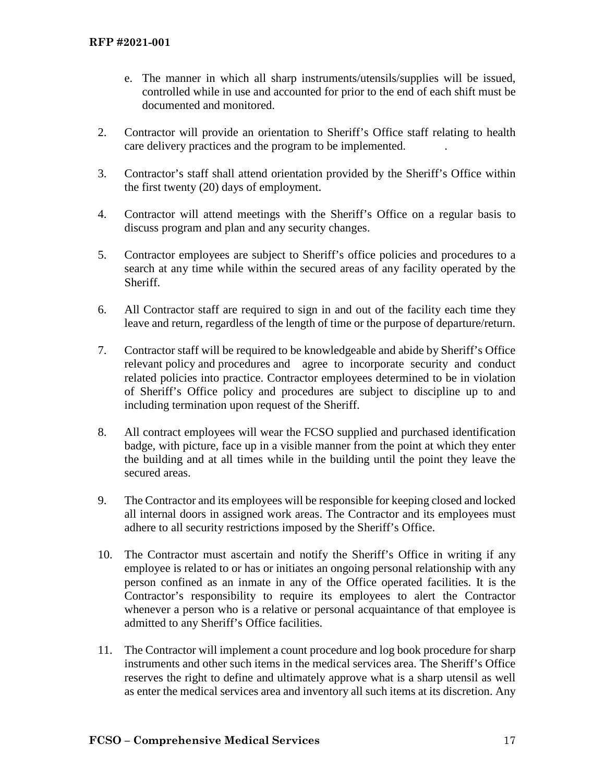- e. The manner in which all sharp instruments/utensils/supplies will be issued, controlled while in use and accounted for prior to the end of each shift must be documented and monitored.
- 2. Contractor will provide an orientation to Sheriff's Office staff relating to health care delivery practices and the program to be implemented. .
- 3. Contractor's staff shall attend orientation provided by the Sheriff's Office within the first twenty (20) days of employment.
- 4. Contractor will attend meetings with the Sheriff's Office on a regular basis to discuss program and plan and any security changes.
- 5. Contractor employees are subject to Sheriff's office policies and procedures to a search at any time while within the secured areas of any facility operated by the Sheriff.
- 6. All Contractor staff are required to sign in and out of the facility each time they leave and return, regardless of the length of time or the purpose of departure/return.
- 7. Contractor staff will be required to be knowledgeable and abide by Sheriff's Office relevant policy and procedures and agree to incorporate security and conduct related policies into practice. Contractor employees determined to be in violation of Sheriff's Office policy and procedures are subject to discipline up to and including termination upon request of the Sheriff.
- 8. All contract employees will wear the FCSO supplied and purchased identification badge, with picture, face up in a visible manner from the point at which they enter the building and at all times while in the building until the point they leave the secured areas.
- 9. The Contractor and its employees will be responsible for keeping closed and locked all internal doors in assigned work areas. The Contractor and its employees must adhere to all security restrictions imposed by the Sheriff's Office.
- 10. The Contractor must ascertain and notify the Sheriff's Office in writing if any employee is related to or has or initiates an ongoing personal relationship with any person confined as an inmate in any of the Office operated facilities. It is the Contractor's responsibility to require its employees to alert the Contractor whenever a person who is a relative or personal acquaintance of that employee is admitted to any Sheriff's Office facilities.
- 11. The Contractor will implement a count procedure and log book procedure for sharp instruments and other such items in the medical services area. The Sheriff's Office reserves the right to define and ultimately approve what is a sharp utensil as well as enter the medical services area and inventory all such items at its discretion. Any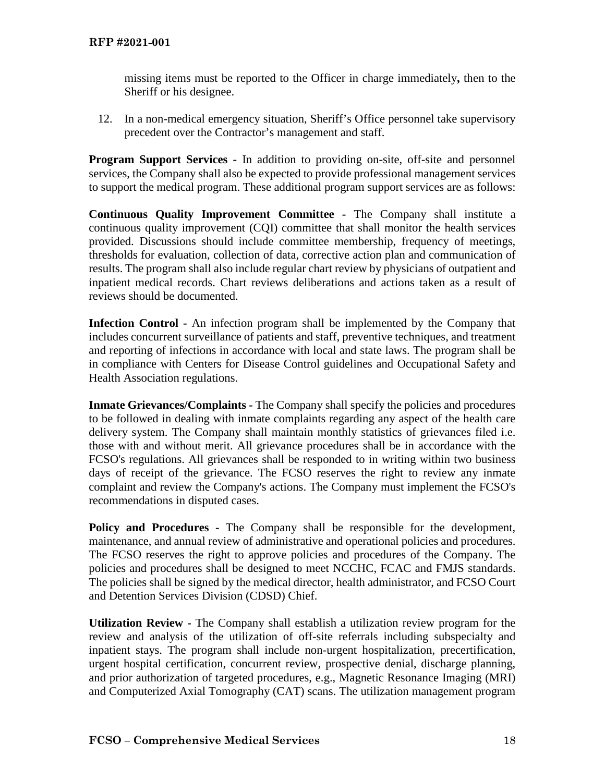missing items must be reported to the Officer in charge immediately**,** then to the Sheriff or his designee.

12. In a non-medical emergency situation, Sheriff's Office personnel take supervisory precedent over the Contractor's management and staff.

**Program Support Services -** In addition to providing on-site, off-site and personnel services, the Company shall also be expected to provide professional management services to support the medical program. These additional program support services are as follows:

**Continuous Quality Improvement Committee -** The Company shall institute a continuous quality improvement (CQI) committee that shall monitor the health services provided. Discussions should include committee membership, frequency of meetings, thresholds for evaluation, collection of data, corrective action plan and communication of results. The program shall also include regular chart review by physicians of outpatient and inpatient medical records. Chart reviews deliberations and actions taken as a result of reviews should be documented.

**Infection Control -** An infection program shall be implemented by the Company that includes concurrent surveillance of patients and staff, preventive techniques, and treatment and reporting of infections in accordance with local and state laws. The program shall be in compliance with Centers for Disease Control guidelines and Occupational Safety and Health Association regulations.

**Inmate Grievances/Complaints -** The Company shall specify the policies and procedures to be followed in dealing with inmate complaints regarding any aspect of the health care delivery system. The Company shall maintain monthly statistics of grievances filed i.e. those with and without merit. All grievance procedures shall be in accordance with the FCSO's regulations. All grievances shall be responded to in writing within two business days of receipt of the grievance. The FCSO reserves the right to review any inmate complaint and review the Company's actions. The Company must implement the FCSO's recommendations in disputed cases.

**Policy and Procedures -** The Company shall be responsible for the development, maintenance, and annual review of administrative and operational policies and procedures. The FCSO reserves the right to approve policies and procedures of the Company. The policies and procedures shall be designed to meet NCCHC, FCAC and FMJS standards. The policies shall be signed by the medical director, health administrator, and FCSO Court and Detention Services Division (CDSD) Chief.

**Utilization Review -** The Company shall establish a utilization review program for the review and analysis of the utilization of off-site referrals including subspecialty and inpatient stays. The program shall include non-urgent hospitalization, precertification, urgent hospital certification, concurrent review, prospective denial, discharge planning, and prior authorization of targeted procedures, e.g., Magnetic Resonance Imaging (MRI) and Computerized Axial Tomography (CAT) scans. The utilization management program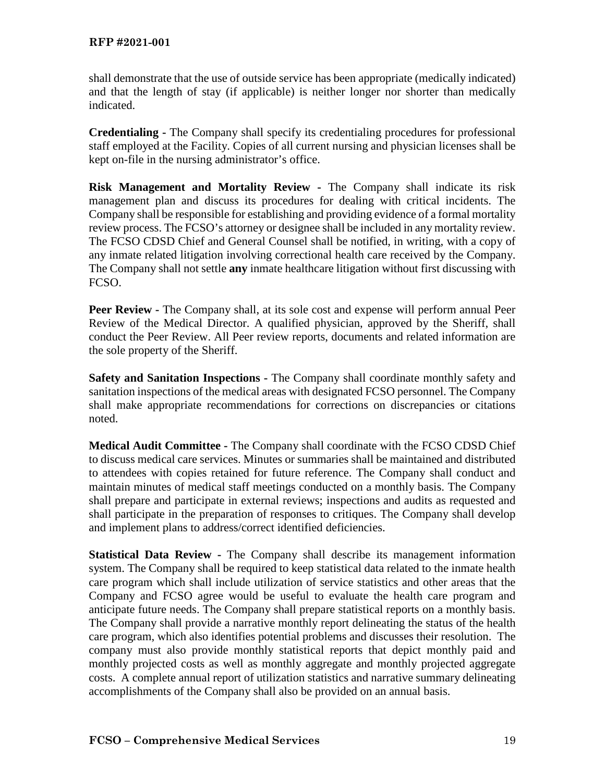shall demonstrate that the use of outside service has been appropriate (medically indicated) and that the length of stay (if applicable) is neither longer nor shorter than medically indicated.

**Credentialing -** The Company shall specify its credentialing procedures for professional staff employed at the Facility. Copies of all current nursing and physician licenses shall be kept on-file in the nursing administrator's office.

**Risk Management and Mortality Review -** The Company shall indicate its risk management plan and discuss its procedures for dealing with critical incidents. The Company shall be responsible for establishing and providing evidence of a formal mortality review process. The FCSO's attorney or designee shall be included in any mortality review. The FCSO CDSD Chief and General Counsel shall be notified, in writing, with a copy of any inmate related litigation involving correctional health care received by the Company. The Company shall not settle **any** inmate healthcare litigation without first discussing with FCSO.

**Peer Review -** The Company shall, at its sole cost and expense will perform annual Peer Review of the Medical Director. A qualified physician, approved by the Sheriff, shall conduct the Peer Review. All Peer review reports, documents and related information are the sole property of the Sheriff.

**Safety and Sanitation Inspections -** The Company shall coordinate monthly safety and sanitation inspections of the medical areas with designated FCSO personnel. The Company shall make appropriate recommendations for corrections on discrepancies or citations noted.

**Medical Audit Committee -** The Company shall coordinate with the FCSO CDSD Chief to discuss medical care services. Minutes or summaries shall be maintained and distributed to attendees with copies retained for future reference. The Company shall conduct and maintain minutes of medical staff meetings conducted on a monthly basis. The Company shall prepare and participate in external reviews; inspections and audits as requested and shall participate in the preparation of responses to critiques. The Company shall develop and implement plans to address/correct identified deficiencies.

**Statistical Data Review -** The Company shall describe its management information system. The Company shall be required to keep statistical data related to the inmate health care program which shall include utilization of service statistics and other areas that the Company and FCSO agree would be useful to evaluate the health care program and anticipate future needs. The Company shall prepare statistical reports on a monthly basis. The Company shall provide a narrative monthly report delineating the status of the health care program, which also identifies potential problems and discusses their resolution. The company must also provide monthly statistical reports that depict monthly paid and monthly projected costs as well as monthly aggregate and monthly projected aggregate costs. A complete annual report of utilization statistics and narrative summary delineating accomplishments of the Company shall also be provided on an annual basis.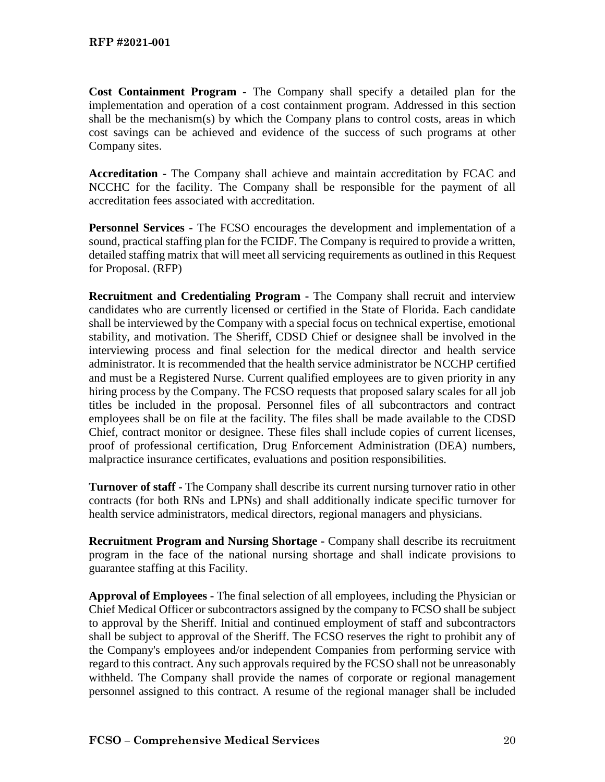**Cost Containment Program -** The Company shall specify a detailed plan for the implementation and operation of a cost containment program. Addressed in this section shall be the mechanism(s) by which the Company plans to control costs, areas in which cost savings can be achieved and evidence of the success of such programs at other Company sites.

**Accreditation -** The Company shall achieve and maintain accreditation by FCAC and NCCHC for the facility. The Company shall be responsible for the payment of all accreditation fees associated with accreditation.

**Personnel Services -** The FCSO encourages the development and implementation of a sound, practical staffing plan for the FCIDF. The Company is required to provide a written, detailed staffing matrix that will meet all servicing requirements as outlined in this Request for Proposal. (RFP)

**Recruitment and Credentialing Program -** The Company shall recruit and interview candidates who are currently licensed or certified in the State of Florida. Each candidate shall be interviewed by the Company with a special focus on technical expertise, emotional stability, and motivation. The Sheriff, CDSD Chief or designee shall be involved in the interviewing process and final selection for the medical director and health service administrator. It is recommended that the health service administrator be NCCHP certified and must be a Registered Nurse. Current qualified employees are to given priority in any hiring process by the Company. The FCSO requests that proposed salary scales for all job titles be included in the proposal. Personnel files of all subcontractors and contract employees shall be on file at the facility. The files shall be made available to the CDSD Chief, contract monitor or designee. These files shall include copies of current licenses, proof of professional certification, Drug Enforcement Administration (DEA) numbers, malpractice insurance certificates, evaluations and position responsibilities.

**Turnover of staff -** The Company shall describe its current nursing turnover ratio in other contracts (for both RNs and LPNs) and shall additionally indicate specific turnover for health service administrators, medical directors, regional managers and physicians.

**Recruitment Program and Nursing Shortage -** Company shall describe its recruitment program in the face of the national nursing shortage and shall indicate provisions to guarantee staffing at this Facility.

**Approval of Employees -** The final selection of all employees, including the Physician or Chief Medical Officer or subcontractors assigned by the company to FCSO shall be subject to approval by the Sheriff. Initial and continued employment of staff and subcontractors shall be subject to approval of the Sheriff. The FCSO reserves the right to prohibit any of the Company's employees and/or independent Companies from performing service with regard to this contract. Any such approvals required by the FCSO shall not be unreasonably withheld. The Company shall provide the names of corporate or regional management personnel assigned to this contract. A resume of the regional manager shall be included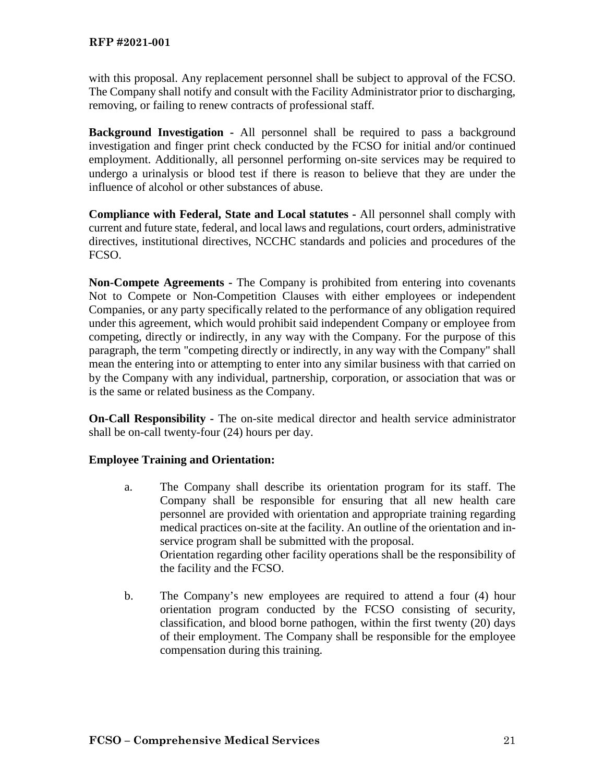with this proposal. Any replacement personnel shall be subject to approval of the FCSO. The Company shall notify and consult with the Facility Administrator prior to discharging, removing, or failing to renew contracts of professional staff.

**Background Investigation -** All personnel shall be required to pass a background investigation and finger print check conducted by the FCSO for initial and/or continued employment. Additionally, all personnel performing on-site services may be required to undergo a urinalysis or blood test if there is reason to believe that they are under the influence of alcohol or other substances of abuse.

**Compliance with Federal, State and Local statutes -** All personnel shall comply with current and future state, federal, and local laws and regulations, court orders, administrative directives, institutional directives, NCCHC standards and policies and procedures of the FCSO.

**Non-Compete Agreements -** The Company is prohibited from entering into covenants Not to Compete or Non-Competition Clauses with either employees or independent Companies, or any party specifically related to the performance of any obligation required under this agreement, which would prohibit said independent Company or employee from competing, directly or indirectly, in any way with the Company. For the purpose of this paragraph, the term "competing directly or indirectly, in any way with the Company" shall mean the entering into or attempting to enter into any similar business with that carried on by the Company with any individual, partnership, corporation, or association that was or is the same or related business as the Company.

**On-Call Responsibility -** The on-site medical director and health service administrator shall be on-call twenty-four (24) hours per day.

# **Employee Training and Orientation:**

- a. The Company shall describe its orientation program for its staff. The Company shall be responsible for ensuring that all new health care personnel are provided with orientation and appropriate training regarding medical practices on-site at the facility. An outline of the orientation and inservice program shall be submitted with the proposal. Orientation regarding other facility operations shall be the responsibility of the facility and the FCSO.
- b. The Company's new employees are required to attend a four (4) hour orientation program conducted by the FCSO consisting of security, classification, and blood borne pathogen, within the first twenty (20) days of their employment. The Company shall be responsible for the employee compensation during this training.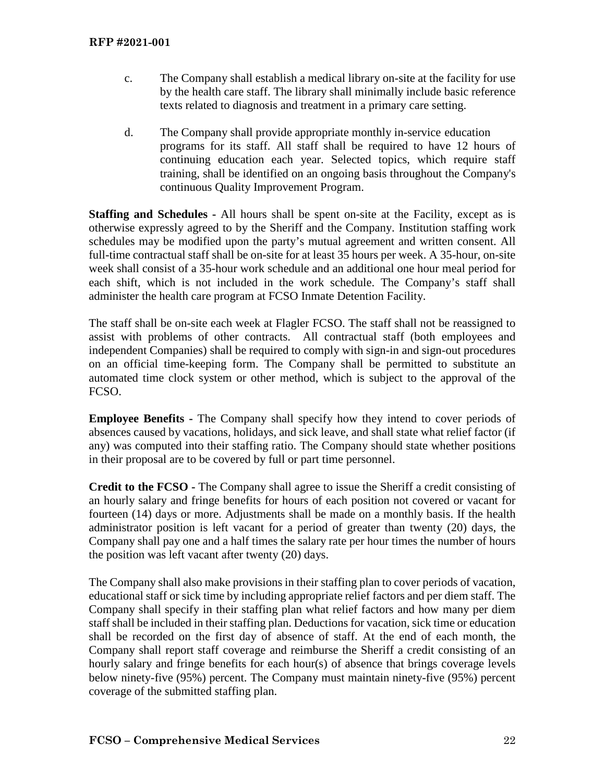- c. The Company shall establish a medical library on-site at the facility for use by the health care staff. The library shall minimally include basic reference texts related to diagnosis and treatment in a primary care setting.
- d. The Company shall provide appropriate monthly in-service education programs for its staff. All staff shall be required to have 12 hours of continuing education each year. Selected topics, which require staff training, shall be identified on an ongoing basis throughout the Company's continuous Quality Improvement Program.

**Staffing and Schedules -** All hours shall be spent on-site at the Facility, except as is otherwise expressly agreed to by the Sheriff and the Company. Institution staffing work schedules may be modified upon the party's mutual agreement and written consent. All full-time contractual staff shall be on-site for at least 35 hours per week. A 35-hour, on-site week shall consist of a 35-hour work schedule and an additional one hour meal period for each shift, which is not included in the work schedule. The Company's staff shall administer the health care program at FCSO Inmate Detention Facility.

The staff shall be on-site each week at Flagler FCSO. The staff shall not be reassigned to assist with problems of other contracts. All contractual staff (both employees and independent Companies) shall be required to comply with sign-in and sign-out procedures on an official time-keeping form. The Company shall be permitted to substitute an automated time clock system or other method, which is subject to the approval of the FCSO.

**Employee Benefits -** The Company shall specify how they intend to cover periods of absences caused by vacations, holidays, and sick leave, and shall state what relief factor (if any) was computed into their staffing ratio. The Company should state whether positions in their proposal are to be covered by full or part time personnel.

**Credit to the FCSO -** The Company shall agree to issue the Sheriff a credit consisting of an hourly salary and fringe benefits for hours of each position not covered or vacant for fourteen (14) days or more. Adjustments shall be made on a monthly basis. If the health administrator position is left vacant for a period of greater than twenty (20) days, the Company shall pay one and a half times the salary rate per hour times the number of hours the position was left vacant after twenty (20) days.

The Company shall also make provisions in their staffing plan to cover periods of vacation, educational staff or sick time by including appropriate relief factors and per diem staff. The Company shall specify in their staffing plan what relief factors and how many per diem staff shall be included in their staffing plan. Deductions for vacation, sick time or education shall be recorded on the first day of absence of staff. At the end of each month, the Company shall report staff coverage and reimburse the Sheriff a credit consisting of an hourly salary and fringe benefits for each hour(s) of absence that brings coverage levels below ninety-five (95%) percent. The Company must maintain ninety-five (95%) percent coverage of the submitted staffing plan.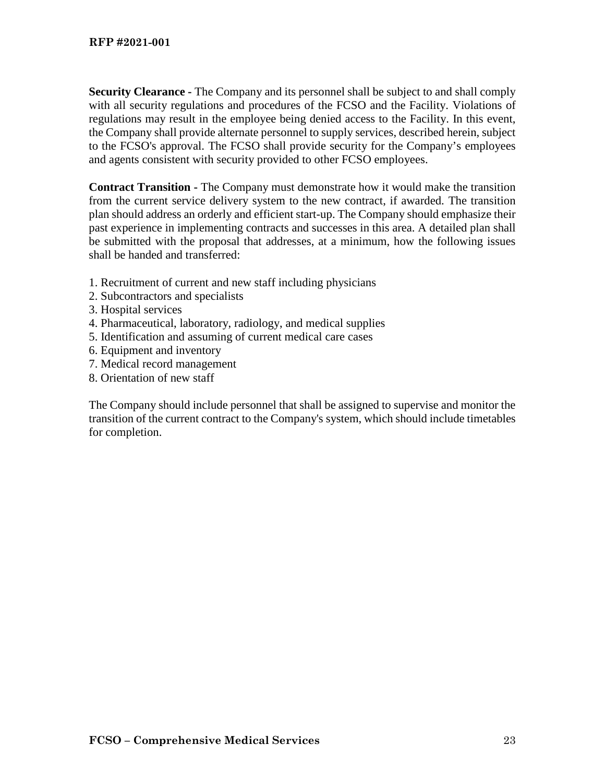**Security Clearance -** The Company and its personnel shall be subject to and shall comply with all security regulations and procedures of the FCSO and the Facility. Violations of regulations may result in the employee being denied access to the Facility. In this event, the Company shall provide alternate personnel to supply services, described herein, subject to the FCSO's approval. The FCSO shall provide security for the Company's employees and agents consistent with security provided to other FCSO employees.

**Contract Transition -** The Company must demonstrate how it would make the transition from the current service delivery system to the new contract, if awarded. The transition plan should address an orderly and efficient start-up. The Company should emphasize their past experience in implementing contracts and successes in this area. A detailed plan shall be submitted with the proposal that addresses, at a minimum, how the following issues shall be handed and transferred:

- 1. Recruitment of current and new staff including physicians
- 2. Subcontractors and specialists
- 3. Hospital services
- 4. Pharmaceutical, laboratory, radiology, and medical supplies
- 5. Identification and assuming of current medical care cases
- 6. Equipment and inventory
- 7. Medical record management
- 8. Orientation of new staff

The Company should include personnel that shall be assigned to supervise and monitor the transition of the current contract to the Company's system, which should include timetables for completion.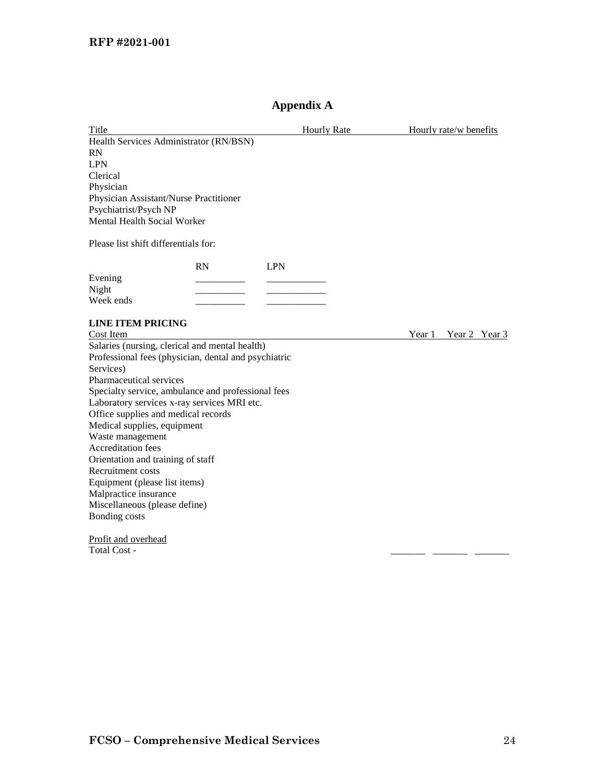# **Appendix A**

| Title                                                |    | <b>Hourly Rate</b> | Hourly rate/w benefits  |
|------------------------------------------------------|----|--------------------|-------------------------|
| Health Services Administrator (RN/BSN)               |    |                    |                         |
| <b>RN</b>                                            |    |                    |                         |
| <b>LPN</b>                                           |    |                    |                         |
| Clerical                                             |    |                    |                         |
| Physician                                            |    |                    |                         |
| Physician Assistant/Nurse Practitioner               |    |                    |                         |
| Psychiatrist/Psych NP                                |    |                    |                         |
| Mental Health Social Worker                          |    |                    |                         |
| Please list shift differentials for:                 |    |                    |                         |
|                                                      | RN | <b>LPN</b>         |                         |
| Evening                                              |    |                    |                         |
| Night                                                |    |                    |                         |
| Week ends                                            |    |                    |                         |
| <b>LINE ITEM PRICING</b>                             |    |                    |                         |
| Cost Item                                            |    |                    | Year 1<br>Year 2 Year 3 |
| Salaries (nursing, clerical and mental health)       |    |                    |                         |
| Professional fees (physician, dental and psychiatric |    |                    |                         |
| Services)                                            |    |                    |                         |
| Pharmaceutical services                              |    |                    |                         |
| Specialty service, ambulance and professional fees   |    |                    |                         |
| Laboratory services x-ray services MRI etc.          |    |                    |                         |
| Office supplies and medical records                  |    |                    |                         |
| Medical supplies, equipment                          |    |                    |                         |
| Waste management                                     |    |                    |                         |
| Accreditation fees                                   |    |                    |                         |
| Orientation and training of staff                    |    |                    |                         |
| Recruitment costs                                    |    |                    |                         |
| Equipment (please list items)                        |    |                    |                         |
| Malpractice insurance                                |    |                    |                         |
| Miscellaneous (please define)                        |    |                    |                         |
| Bonding costs                                        |    |                    |                         |
| Profit and overhead                                  |    |                    |                         |
| Total Cost -                                         |    |                    |                         |
|                                                      |    |                    |                         |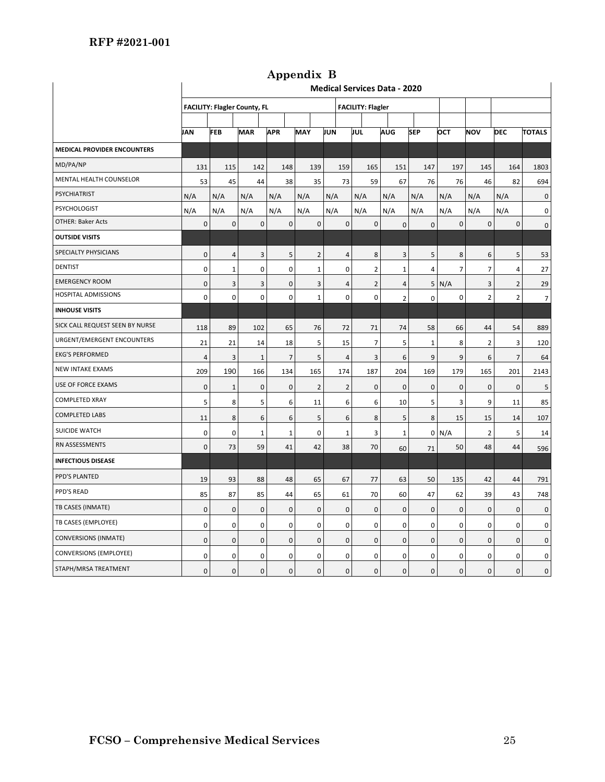|                                    | <b>Medical Services Data - 2020</b>                             |                         |              |                |                |                |                |                |                         |                |                |                |                |
|------------------------------------|-----------------------------------------------------------------|-------------------------|--------------|----------------|----------------|----------------|----------------|----------------|-------------------------|----------------|----------------|----------------|----------------|
|                                    | <b>FACILITY: Flagler County, FL</b><br><b>FACILITY: Flagler</b> |                         |              |                |                |                |                |                |                         |                |                |                |                |
|                                    |                                                                 |                         |              |                |                |                |                |                |                         |                |                |                |                |
|                                    | <b>JAN</b>                                                      | <b>FEB</b>              | <b>MAR</b>   | <b>APR</b>     | <b>MAY</b>     | JUN            | JUL            | <b>AUG</b>     | <b>SEP</b>              | OCT            | <b>NOV</b>     | <b>DEC</b>     | <b>TOTALS</b>  |
| <b>MEDICAL PROVIDER ENCOUNTERS</b> |                                                                 |                         |              |                |                |                |                |                |                         |                |                |                |                |
| MD/PA/NP                           | 131                                                             | 115                     | 142          | 148            | 139            | 159            | 165            | 151            | 147                     | 197            | 145            | 164            | 1803           |
| MENTAL HEALTH COUNSELOR            | 53                                                              | 45                      | 44           | 38             | 35             | 73             | 59             | 67             | 76                      | 76             | 46             | 82             | 694            |
| PSYCHIATRIST                       | N/A                                                             | N/A                     | N/A          | N/A            | N/A            | N/A            | N/A            | N/A            | N/A                     | N/A            | N/A            | N/A            | $\mathbf 0$    |
| PSYCHOLOGIST                       | N/A                                                             | N/A                     | N/A          | N/A            | N/A            | N/A            | N/A            | N/A            | N/A                     | N/A            | N/A            | N/A            | 0              |
| <b>OTHER: Baker Acts</b>           | $\pmb{0}$                                                       | $\pmb{0}$               | $\pmb{0}$    | $\pmb{0}$      | $\mathbf 0$    | $\pmb{0}$      | $\pmb{0}$      | $\pmb{0}$      | $\pmb{0}$               | 0              | $\pmb{0}$      | $\pmb{0}$      | $\mathsf 0$    |
| <b>OUTSIDE VISITS</b>              |                                                                 |                         |              |                |                |                |                |                |                         |                |                |                |                |
| SPECIALTY PHYSICIANS               | $\mathbf 0$                                                     | $\overline{4}$          | 3            | 5              | 2              | $\overline{4}$ | 8              | 3              | 5                       | 8              | 6              | 5              | 53             |
| <b>DENTIST</b>                     | 0                                                               | $\mathbf 1$             | 0            | 0              | $\mathbf 1$    | 0              | $\overline{2}$ | $\mathbf 1$    | $\overline{\mathbf{4}}$ | $\overline{7}$ | $\overline{7}$ | $\sqrt{4}$     | 27             |
| <b>EMERGENCY ROOM</b>              | 0                                                               | 3                       | 3            | 0              | 3              | $\overline{4}$ | $\overline{2}$ | $\overline{4}$ | 5                       | N/A            | 3              | $\overline{2}$ | 29             |
| HOSPITAL ADMISSIONS                | 0                                                               | 0                       | $\mathbf 0$  | 0              | $\mathbf 1$    | 0              | 0              | $\overline{2}$ | 0                       | 0              | $\overline{2}$ | $\overline{2}$ | $\overline{7}$ |
| <b>INHOUSE VISITS</b>              |                                                                 |                         |              |                |                |                |                |                |                         |                |                |                |                |
| SICK CALL REQUEST SEEN BY NURSE    | 118                                                             | 89                      | 102          | 65             | 76             | 72             | 71             | 74             | 58                      | 66             | 44             | 54             | 889            |
| URGENT/EMERGENT ENCOUNTERS         | 21                                                              | 21                      | 14           | 18             | 5              | 15             | $\overline{7}$ | 5              | $\mathbf 1$             | 8              | $\overline{2}$ | 3              | 120            |
| <b>EKG'S PERFORMED</b>             | 4                                                               | $\overline{\mathbf{3}}$ | $\mathbf{1}$ | $\overline{7}$ | 5              | 4              | 3              | 6              | 9                       | 9              | 6              | $\overline{7}$ | 64             |
| <b>NEW INTAKE EXAMS</b>            | 209                                                             | 190                     | 166          | 134            | 165            | 174            | 187            | 204            | 169                     | 179            | 165            | 201            | 2143           |
| USE OF FORCE EXAMS                 | 0                                                               | $\mathbf{1}$            | $\mathbf{0}$ | $\mathbf 0$    | $\overline{2}$ | $\overline{2}$ | $\mathbf 0$    | $\mathbf 0$    | $\mathbf{0}$            | $\mathbf 0$    | $\mathbf{0}$   | $\mathbf 0$    | 5              |
| <b>COMPLETED XRAY</b>              | 5                                                               | 8                       | 5            | 6              | 11             | 6              | 6              | 10             | 5                       | 3              | 9              | 11             | 85             |
| <b>COMPLETED LABS</b>              | 11                                                              | 8                       | 6            | 6              | 5              | 6              | 8              | 5              | 8                       | 15             | 15             | 14             | 107            |
| <b>SUICIDE WATCH</b>               | 0                                                               | $\pmb{0}$               | $\mathbf{1}$ | $\mathbf{1}$   | $\mathbf 0$    | $\mathbf 1$    | 3              | $\mathbf{1}$   | $\mathbf{O}$            | N/A            | $\overline{2}$ | 5              | 14             |
| RN ASSESSMENTS                     | 0                                                               | 73                      | 59           | 41             | 42             | 38             | 70             | 60             | 71                      | 50             | 48             | 44             | 596            |
| <b>INFECTIOUS DISEASE</b>          |                                                                 |                         |              |                |                |                |                |                |                         |                |                |                |                |
| PPD'S PLANTED                      | 19                                                              | 93                      | 88           | 48             | 65             | 67             | 77             | 63             | 50                      | 135            | 42             | 44             | 791            |
| PPD'S READ                         | 85                                                              | 87                      | 85           | 44             | 65             | 61             | 70             | 60             | 47                      | 62             | 39             | 43             | 748            |
| TB CASES (INMATE)                  | 0                                                               | $\pmb{0}$               | $\pmb{0}$    | $\pmb{0}$      | $\pmb{0}$      | 0              | $\pmb{0}$      | $\pmb{0}$      | 0                       | 0              | $\pmb{0}$      | $\pmb{0}$      | $\pmb{0}$      |
| TB CASES (EMPLOYEE)                | 0                                                               | $\pmb{0}$               | 0            | 0              | $\pmb{0}$      | 0              | 0              | $\pmb{0}$      | 0                       | 0              | $\mathbf 0$    | 0              | 0              |
| <b>CONVERSIONS (INMATE)</b>        | $\pmb{0}$                                                       | $\pmb{0}$               | $\pmb{0}$    | $\pmb{0}$      | $\pmb{0}$      | $\pmb{0}$      | 0              | $\mathbf 0$    | $\pmb{0}$               | 0              | $\pmb{0}$      | $\pmb{0}$      | $\pmb{0}$      |
| <b>CONVERSIONS (EMPLOYEE)</b>      | 0                                                               | 0                       | 0            | 0              | 0              | 0              | 0              | 0              | 0                       | 0              | 0              | 0              | 0              |
| STAPH/MRSA TREATMENT               | 0                                                               | $\mathsf 0$             | $\pmb{0}$    | 0              | $\pmb{0}$      | $\mathsf 0$    | 0              | $\mathbf 0$    | $\pmb{0}$               | 0              | $\pmb{0}$      | $\mathsf 0$    | 0              |

**Appendix B**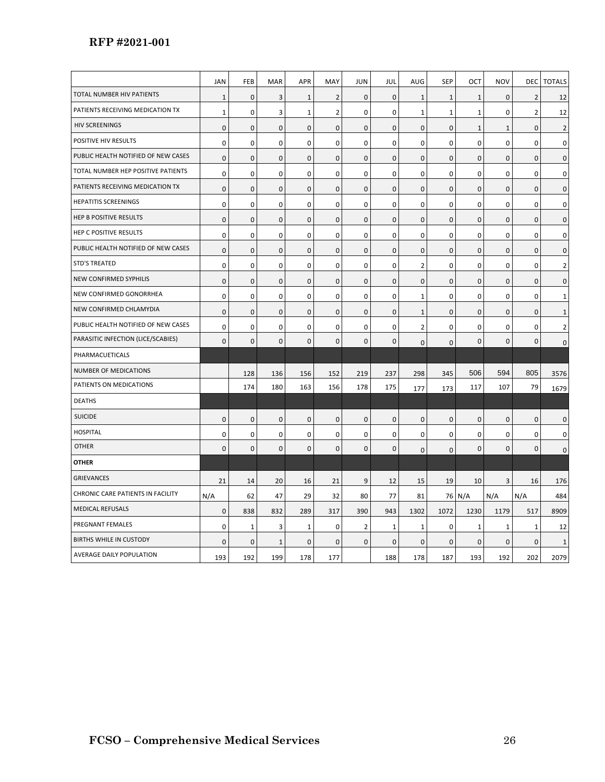# **RFP #2021-001**

|                                     | JAN          | FEB         | <b>MAR</b>   | <b>APR</b>   | MAY            | <b>JUN</b>   | JUL          | AUG            | <b>SEP</b>   | OCT         | <b>NOV</b>   | DEC            | <b>TOTALS</b>       |
|-------------------------------------|--------------|-------------|--------------|--------------|----------------|--------------|--------------|----------------|--------------|-------------|--------------|----------------|---------------------|
| TOTAL NUMBER HIV PATIENTS           | $\mathbf 1$  | $\pmb{0}$   | 3            | $\mathbf 1$  | $\overline{2}$ | $\mathbf 0$  | 0            | $\mathbf 1$    | $\mathbf{1}$ | $1\,$       | 0            | $\overline{2}$ | 12                  |
| PATIENTS RECEIVING MEDICATION TX    | $\mathbf{1}$ | 0           | 3            | $\mathbf{1}$ | $\overline{2}$ | 0            | 0            | $\mathbf 1$    | $\mathbf{1}$ | $\mathbf 1$ | $\mathbf 0$  | $\overline{2}$ | 12                  |
| <b>HIV SCREENINGS</b>               | $\mathsf 0$  | $\mathsf 0$ | 0            | $\mathbf 0$  | $\pmb{0}$      | $\pmb{0}$    | $\mathbf 0$  | $\mathbf 0$    | $\mathbf 0$  | $\mathbf 1$ | $\mathbf{1}$ | $\pmb{0}$      | $\overline{2}$      |
| POSITIVE HIV RESULTS                | 0            | $\mathbf 0$ | 0            | 0            | $\mathbf 0$    | 0            | 0            | $\mathbf 0$    | $\mathbf 0$  | 0           | $\mathbf 0$  | $\mathbf 0$    | $\mathsf 0$         |
| PUBLIC HEALTH NOTIFIED OF NEW CASES | $\mathsf 0$  | $\mathsf 0$ | 0            | $\mathbf 0$  | $\mathbf 0$    | $\pmb{0}$    | 0            | $\mathbf 0$    | $\mathbf 0$  | 0           | 0            | $\mathbf 0$    | $\mathsf 0$         |
| TOTAL NUMBER HEP POSITIVE PATIENTS  | $\pmb{0}$    | $\pmb{0}$   | 0            | 0            | $\pmb{0}$      | 0            | 0            | 0              | 0            | $\mathbf 0$ | $\pmb{0}$    | $\mathbf 0$    | $\mathbf 0$         |
| PATIENTS RECEIVING MEDICATION TX    | $\mathsf 0$  | $\mathbf 0$ | 0            | $\mathbf 0$  | $\mathbf 0$    | $\mathbf 0$  | $\mathbf 0$  | $\mathbf 0$    | $\mathbf 0$  | 0           | $\mathsf 0$  | $\mathbf 0$    | $\pmb{0}$           |
| <b>HEPATITIS SCREENINGS</b>         | $\mathbf 0$  | 0           | 0            | 0            | 0              | $\mathbf 0$  | 0            | 0              | $\mathbf 0$  | 0           | $\mathbf 0$  | $\mathbf 0$    | $\mathbf 0$         |
| HEP B POSITIVE RESULTS              | 0            | $\mathsf 0$ | $\mathbf{0}$ | $\mathbf 0$  | $\mathbf{0}$   | $\mathbf 0$  | $\mathbf{0}$ | 0              | $\mathbf{0}$ | $\pmb{0}$   | $\mathbf{0}$ | 0              | $\mathsf 0$         |
| HEP C POSITIVE RESULTS              | 0            | 0           | 0            | $\mathbf{0}$ | $\mathbf 0$    | 0            | 0            | 0              | 0            | 0           | 0            | 0              | 0                   |
| PUBLIC HEALTH NOTIFIED OF NEW CASES | $\mathsf 0$  | $\mathsf 0$ | 0            | $\mathbf 0$  | $\mathbf{0}$   | 0            | 0            | $\mathbf 0$    | $\mathbf 0$  | 0           | 0            | $\mathbf 0$    | $\mathbf 0$         |
| <b>STD'S TREATED</b>                | 0            | $\mathbf 0$ | 0            | 0            | 0              | 0            | 0            | $\overline{2}$ | $\mathbf 0$  | 0           | $\mathbf 0$  | $\mathbf 0$    | $\overline{2}$      |
| NEW CONFIRMED SYPHILIS              | 0            | $\bf 0$     | 0            | $\mathbf 0$  | $\mathbf{0}$   | $\mathbf 0$  | 0            | $\mathbf 0$    | $\mathbf{0}$ | 0           | $\mathbf 0$  | $\mathbf 0$    | $\mathbf 0$         |
| NEW CONFIRMED GONORRHEA             | 0            | 0           | 0            | 0            | $\mathbf 0$    | 0            | 0            | 1              | $\mathbf 0$  | 0           | 0            | 0              | $\mathbf{1}$        |
| NEW CONFIRMED CHLAMYDIA             | $\mathbf 0$  | $\mathbf 0$ | $\Omega$     | $\mathbf 0$  | $\Omega$       | $\mathbf 0$  | $\Omega$     | $\mathbf{1}$   | $\mathbf{0}$ | 0           | $\Omega$     | $\mathbf 0$    | $\mathbf{1}$        |
| PUBLIC HEALTH NOTIFIED OF NEW CASES | 0            | 0           | 0            | 0            | $\mathbf 0$    | 0            | 0            | 2              | $\mathbf 0$  | 0           | 0            | 0              | $\overline{2}$      |
| PARASITIC INFECTION (LICE/SCABIES)  | $\mathbf 0$  | $\mathbf 0$ | $\mathbf{0}$ | $\mathbf 0$  | $\mathbf 0$    | $\mathbf 0$  | $\mathbf{0}$ | $\mathbf 0$    | $\mathbf{0}$ | 0           | $\mathbf{0}$ | $\mathbf 0$    | $\mathbf 0$         |
| PHARMACUETICALS                     |              |             |              |              |                |              |              |                |              |             |              |                |                     |
| <b>NUMBER OF MEDICATIONS</b>        |              | 128         | 136          | 156          | 152            | 219          | 237          | 298            | 345          | 506         | 594          | 805            | 3576                |
| PATIENTS ON MEDICATIONS             |              | 174         | 180          | 163          | 156            | 178          | 175          | 177            | 173          | 117         | 107          | 79             | 1679                |
| <b>DEATHS</b>                       |              |             |              |              |                |              |              |                |              |             |              |                |                     |
| <b>SUICIDE</b>                      | 0            | $\bf 0$     | 0            | $\mathbf 0$  | $\pmb{0}$      | $\mathbf 0$  | 0            | $\mathbf 0$    | $\mathsf 0$  | $\mathbf 0$ | $\mathbf 0$  | $\pmb{0}$      | $\mathbf 0$         |
| <b>HOSPITAL</b>                     | $\mathbf 0$  | 0           | 0            | 0            | $\mathbf 0$    | $\mathbf 0$  | 0            | 0              | $\mathbf 0$  | 0           | $\mathbf 0$  | $\mathbf 0$    | $\mathbf 0$         |
| <b>OTHER</b>                        | $\mathbf 0$  | $\pmb{0}$   | $\mathbf{0}$ | $\mathbf 0$  | $\mathbf 0$    | $\mathbf{0}$ | $\mathbf{0}$ | $\mathbf 0$    | $\mathbf{0}$ | $\mathbf 0$ | $\mathbf{0}$ | $\mathbf 0$    | $\mathsf{O}\xspace$ |
| <b>OTHER</b>                        |              |             |              |              |                |              |              |                |              |             |              |                |                     |
| <b>GRIEVANCES</b>                   | 21           | 14          | 20           | 16           | 21             | 9            | 12           | 15             | 19           | 10          | 3            | 16             | 176                 |
| CHRONIC CARE PATIENTS IN FACILITY   | N/A          | 62          | 47           | 29           | 32             | 80           | 77           | 81             |              | 76 N/A      | N/A          | N/A            | 484                 |
| <b>MEDICAL REFUSALS</b>             | 0            | 838         | 832          | 289          | 317            | 390          | 943          | 1302           | 1072         | 1230        | 1179         | 517            | 8909                |
| PREGNANT FEMALES                    | 0            | 1           | 3            | 1            | 0              | 2            | $\mathbf{1}$ | 1              | 0            | 1           | 1            | 1              | 12                  |
| BIRTHS WHILE IN CUSTODY             | $\mathbf{0}$ | $\mathbf 0$ | $\mathbf{1}$ | $\mathbf 0$  | $\mathbf 0$    | 0            | $\mathbf{0}$ | 0              | 0            | 0           | $\mathbf{0}$ | $\mathbf 0$    | 1                   |
| AVERAGE DAILY POPULATION            | 193          | 192         | 199          | 178          | 177            |              | 188          | 178            | 187          | 193         | 192          | 202            | 2079                |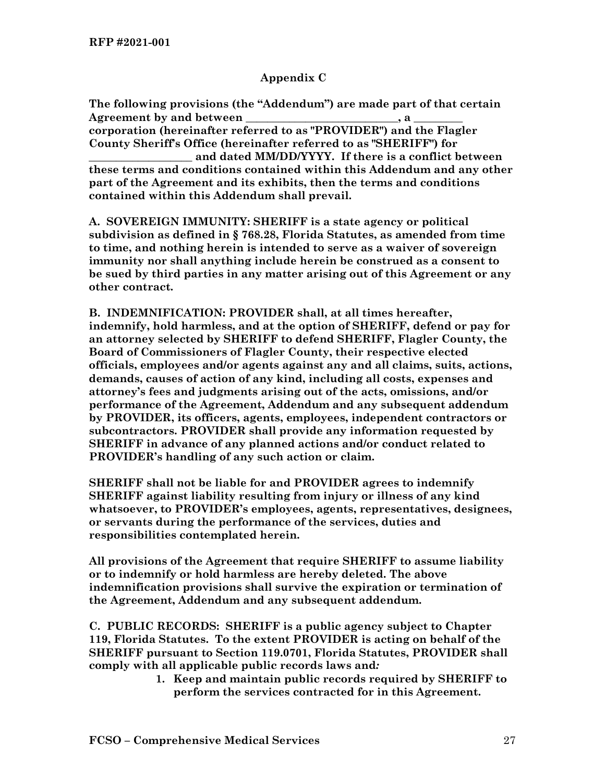### **Appendix C**

**The following provisions (the "Addendum") are made part of that certain**  Agreement by and between the same of  $\bf{A}$  a  $\bf{A}$ **corporation (hereinafter referred to as "PROVIDER") and the Flagler County Sheriff's Office (hereinafter referred to as "SHERIFF") for \_\_\_\_\_\_\_\_\_\_\_\_\_\_\_\_\_\_\_ and dated MM/DD/YYYY. If there is a conflict between these terms and conditions contained within this Addendum and any other** 

**part of the Agreement and its exhibits, then the terms and conditions contained within this Addendum shall prevail.** 

**A. SOVEREIGN IMMUNITY: SHERIFF is a state agency or political subdivision as defined in § 768.28, Florida Statutes, as amended from time to time, and nothing herein is intended to serve as a waiver of sovereign immunity nor shall anything include herein be construed as a consent to be sued by third parties in any matter arising out of this Agreement or any other contract.**

**B. INDEMNIFICATION: PROVIDER shall, at all times hereafter, indemnify, hold harmless, and at the option of SHERIFF, defend or pay for an attorney selected by SHERIFF to defend SHERIFF, Flagler County, the Board of Commissioners of Flagler County, their respective elected officials, employees and/or agents against any and all claims, suits, actions, demands, causes of action of any kind, including all costs, expenses and attorney's fees and judgments arising out of the acts, omissions, and/or performance of the Agreement, Addendum and any subsequent addendum by PROVIDER, its officers, agents, employees, independent contractors or subcontractors. PROVIDER shall provide any information requested by SHERIFF in advance of any planned actions and/or conduct related to PROVIDER's handling of any such action or claim.** 

**SHERIFF shall not be liable for and PROVIDER agrees to indemnify SHERIFF against liability resulting from injury or illness of any kind whatsoever, to PROVIDER's employees, agents, representatives, designees, or servants during the performance of the services, duties and responsibilities contemplated herein.** 

**All provisions of the Agreement that require SHERIFF to assume liability or to indemnify or hold harmless are hereby deleted. The above indemnification provisions shall survive the expiration or termination of the Agreement, Addendum and any subsequent addendum.** 

**C. PUBLIC RECORDS: SHERIFF is a public agency subject to Chapter 119, Florida Statutes. To the extent PROVIDER is acting on behalf of the SHERIFF pursuant to Section 119.0701, Florida Statutes, PROVIDER shall comply with all applicable public records laws and***:*

**1. Keep and maintain public records required by SHERIFF to perform the services contracted for in this Agreement.**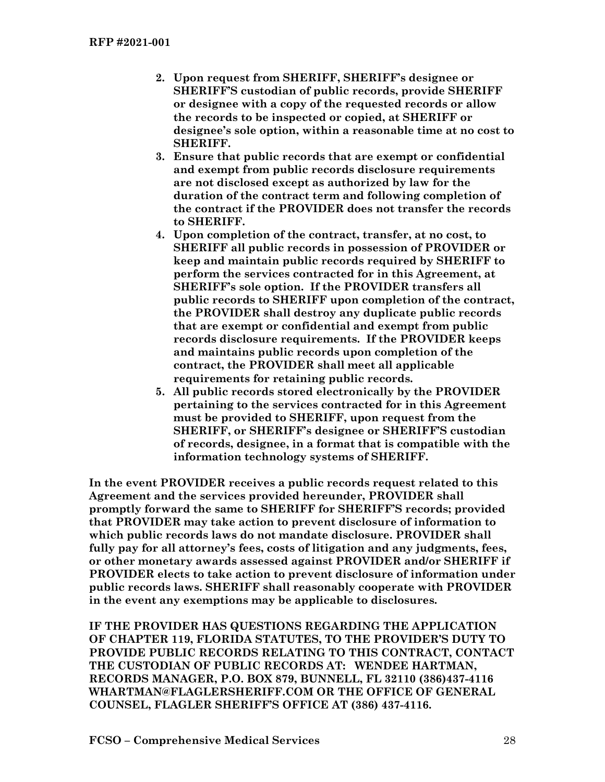- **2. Upon request from SHERIFF, SHERIFF's designee or SHERIFF'S custodian of public records, provide SHERIFF or designee with a copy of the requested records or allow the records to be inspected or copied, at SHERIFF or designee's sole option, within a reasonable time at no cost to SHERIFF.**
- **3. Ensure that public records that are exempt or confidential and exempt from public records disclosure requirements are not disclosed except as authorized by law for the duration of the contract term and following completion of the contract if the PROVIDER does not transfer the records to SHERIFF.**
- **4. Upon completion of the contract, transfer, at no cost, to SHERIFF all public records in possession of PROVIDER or keep and maintain public records required by SHERIFF to perform the services contracted for in this Agreement, at SHERIFF's sole option. If the PROVIDER transfers all public records to SHERIFF upon completion of the contract, the PROVIDER shall destroy any duplicate public records that are exempt or confidential and exempt from public records disclosure requirements. If the PROVIDER keeps and maintains public records upon completion of the contract, the PROVIDER shall meet all applicable requirements for retaining public records.**
- **5. All public records stored electronically by the PROVIDER pertaining to the services contracted for in this Agreement must be provided to SHERIFF, upon request from the SHERIFF, or SHERIFF's designee or SHERIFF'S custodian of records, designee, in a format that is compatible with the information technology systems of SHERIFF.**

**In the event PROVIDER receives a public records request related to this Agreement and the services provided hereunder, PROVIDER shall promptly forward the same to SHERIFF for SHERIFF'S records; provided that PROVIDER may take action to prevent disclosure of information to which public records laws do not mandate disclosure. PROVIDER shall fully pay for all attorney's fees, costs of litigation and any judgments, fees, or other monetary awards assessed against PROVIDER and/or SHERIFF if PROVIDER elects to take action to prevent disclosure of information under public records laws. SHERIFF shall reasonably cooperate with PROVIDER in the event any exemptions may be applicable to disclosures.** 

**IF THE PROVIDER HAS QUESTIONS REGARDING THE APPLICATION OF CHAPTER 119, FLORIDA STATUTES, TO THE PROVIDER'S DUTY TO PROVIDE PUBLIC RECORDS RELATING TO THIS CONTRACT, CONTACT THE CUSTODIAN OF PUBLIC RECORDS AT: WENDEE HARTMAN, RECORDS MANAGER, P.O. BOX 879, BUNNELL, FL 32110 (386)437-4116 WHARTMAN@FLAGLERSHERIFF.COM OR THE OFFICE OF GENERAL COUNSEL, FLAGLER SHERIFF'S OFFICE AT (386) 437-4116.**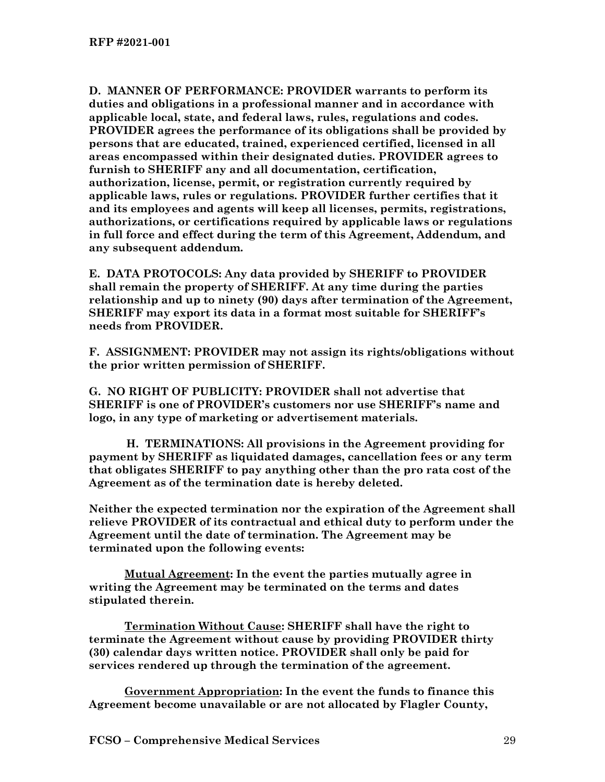**D. MANNER OF PERFORMANCE: PROVIDER warrants to perform its duties and obligations in a professional manner and in accordance with applicable local, state, and federal laws, rules, regulations and codes. PROVIDER agrees the performance of its obligations shall be provided by persons that are educated, trained, experienced certified, licensed in all areas encompassed within their designated duties. PROVIDER agrees to furnish to SHERIFF any and all documentation, certification, authorization, license, permit, or registration currently required by applicable laws, rules or regulations. PROVIDER further certifies that it and its employees and agents will keep all licenses, permits, registrations, authorizations, or certifications required by applicable laws or regulations in full force and effect during the term of this Agreement, Addendum, and any subsequent addendum.** 

**E. DATA PROTOCOLS: Any data provided by SHERIFF to PROVIDER shall remain the property of SHERIFF. At any time during the parties relationship and up to ninety (90) days after termination of the Agreement, SHERIFF may export its data in a format most suitable for SHERIFF's needs from PROVIDER.** 

**F. ASSIGNMENT: PROVIDER may not assign its rights/obligations without the prior written permission of SHERIFF.**

**G. NO RIGHT OF PUBLICITY: PROVIDER shall not advertise that SHERIFF is one of PROVIDER's customers nor use SHERIFF's name and logo, in any type of marketing or advertisement materials.** 

 **H. TERMINATIONS: All provisions in the Agreement providing for payment by SHERIFF as liquidated damages, cancellation fees or any term that obligates SHERIFF to pay anything other than the pro rata cost of the Agreement as of the termination date is hereby deleted.**

**Neither the expected termination nor the expiration of the Agreement shall relieve PROVIDER of its contractual and ethical duty to perform under the Agreement until the date of termination. The Agreement may be terminated upon the following events:**

**Mutual Agreement: In the event the parties mutually agree in writing the Agreement may be terminated on the terms and dates stipulated therein.** 

**Termination Without Cause: SHERIFF shall have the right to terminate the Agreement without cause by providing PROVIDER thirty (30) calendar days written notice. PROVIDER shall only be paid for services rendered up through the termination of the agreement.** 

**Government Appropriation: In the event the funds to finance this Agreement become unavailable or are not allocated by Flagler County,**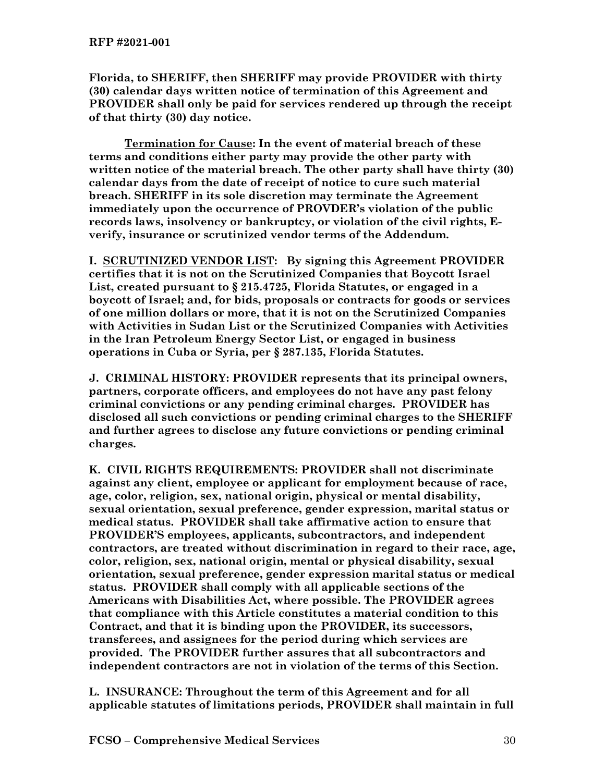**Florida, to SHERIFF, then SHERIFF may provide PROVIDER with thirty (30) calendar days written notice of termination of this Agreement and PROVIDER shall only be paid for services rendered up through the receipt of that thirty (30) day notice.** 

**Termination for Cause: In the event of material breach of these terms and conditions either party may provide the other party with written notice of the material breach. The other party shall have thirty (30) calendar days from the date of receipt of notice to cure such material breach. SHERIFF in its sole discretion may terminate the Agreement immediately upon the occurrence of PROVDER's violation of the public records laws, insolvency or bankruptcy, or violation of the civil rights, Everify, insurance or scrutinized vendor terms of the Addendum.** 

**I. SCRUTINIZED VENDOR LIST: By signing this Agreement PROVIDER certifies that it is not on the Scrutinized Companies that Boycott Israel List, created pursuant to § 215.4725, Florida Statutes, or engaged in a boycott of Israel; and, for bids, proposals or contracts for goods or services of one million dollars or more, that it is not on the Scrutinized Companies with Activities in Sudan List or the Scrutinized Companies with Activities in the Iran Petroleum Energy Sector List, or engaged in business operations in Cuba or Syria, per § 287.135, Florida Statutes.** 

**J. CRIMINAL HISTORY: PROVIDER represents that its principal owners, partners, corporate officers, and employees do not have any past felony criminal convictions or any pending criminal charges. PROVIDER has disclosed all such convictions or pending criminal charges to the SHERIFF and further agrees to disclose any future convictions or pending criminal charges.**

**K. CIVIL RIGHTS REQUIREMENTS: PROVIDER shall not discriminate against any client, employee or applicant for employment because of race, age, color, religion, sex, national origin, physical or mental disability, sexual orientation, sexual preference, gender expression, marital status or medical status. PROVIDER shall take affirmative action to ensure that PROVIDER'S employees, applicants, subcontractors, and independent contractors, are treated without discrimination in regard to their race, age, color, religion, sex, national origin, mental or physical disability, sexual orientation, sexual preference, gender expression marital status or medical status. PROVIDER shall comply with all applicable sections of the Americans with Disabilities Act, where possible. The PROVIDER agrees that compliance with this Article constitutes a material condition to this Contract, and that it is binding upon the PROVIDER, its successors, transferees, and assignees for the period during which services are provided. The PROVIDER further assures that all subcontractors and independent contractors are not in violation of the terms of this Section.** 

**L. INSURANCE: Throughout the term of this Agreement and for all applicable statutes of limitations periods, PROVIDER shall maintain in full**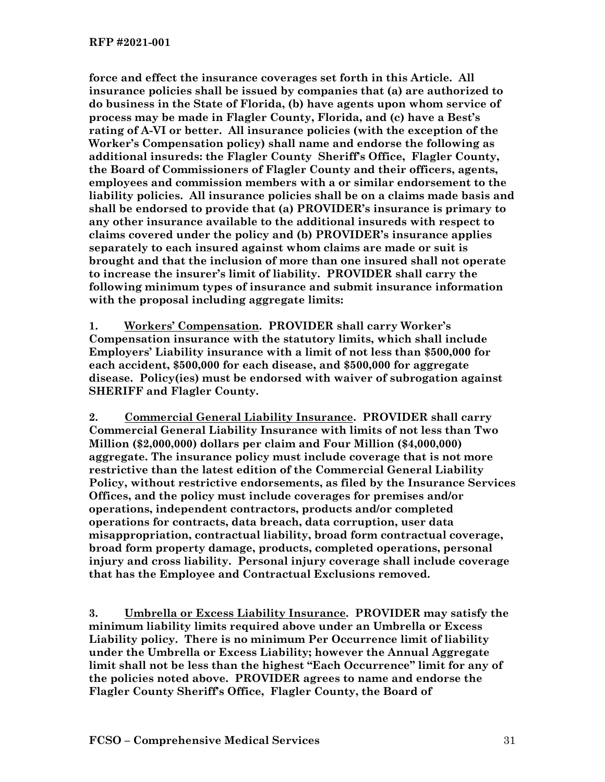**force and effect the insurance coverages set forth in this Article. All insurance policies shall be issued by companies that (a) are authorized to do business in the State of Florida, (b) have agents upon whom service of process may be made in Flagler County, Florida, and (c) have a Best's rating of A-VI or better. All insurance policies (with the exception of the Worker's Compensation policy) shall name and endorse the following as additional insureds: the Flagler County Sheriff's Office, Flagler County, the Board of Commissioners of Flagler County and their officers, agents, employees and commission members with a or similar endorsement to the liability policies. All insurance policies shall be on a claims made basis and shall be endorsed to provide that (a) PROVIDER's insurance is primary to any other insurance available to the additional insureds with respect to claims covered under the policy and (b) PROVIDER's insurance applies separately to each insured against whom claims are made or suit is brought and that the inclusion of more than one insured shall not operate to increase the insurer's limit of liability. PROVIDER shall carry the following minimum types of insurance and submit insurance information with the proposal including aggregate limits:**

**1. Workers' Compensation. PROVIDER shall carry Worker's Compensation insurance with the statutory limits, which shall include Employers' Liability insurance with a limit of not less than \$500,000 for each accident, \$500,000 for each disease, and \$500,000 for aggregate disease. Policy(ies) must be endorsed with waiver of subrogation against SHERIFF and Flagler County.**

**2. Commercial General Liability Insurance. PROVIDER shall carry Commercial General Liability Insurance with limits of not less than Two Million (\$2,000,000) dollars per claim and Four Million (\$4,000,000) aggregate. The insurance policy must include coverage that is not more restrictive than the latest edition of the Commercial General Liability Policy, without restrictive endorsements, as filed by the Insurance Services Offices, and the policy must include coverages for premises and/or operations, independent contractors, products and/or completed operations for contracts, data breach, data corruption, user data misappropriation, contractual liability, broad form contractual coverage, broad form property damage, products, completed operations, personal injury and cross liability. Personal injury coverage shall include coverage that has the Employee and Contractual Exclusions removed.**

**3. Umbrella or Excess Liability Insurance. PROVIDER may satisfy the minimum liability limits required above under an Umbrella or Excess Liability policy. There is no minimum Per Occurrence limit of liability under the Umbrella or Excess Liability; however the Annual Aggregate limit shall not be less than the highest "Each Occurrence" limit for any of the policies noted above. PROVIDER agrees to name and endorse the Flagler County Sheriff's Office, Flagler County, the Board of**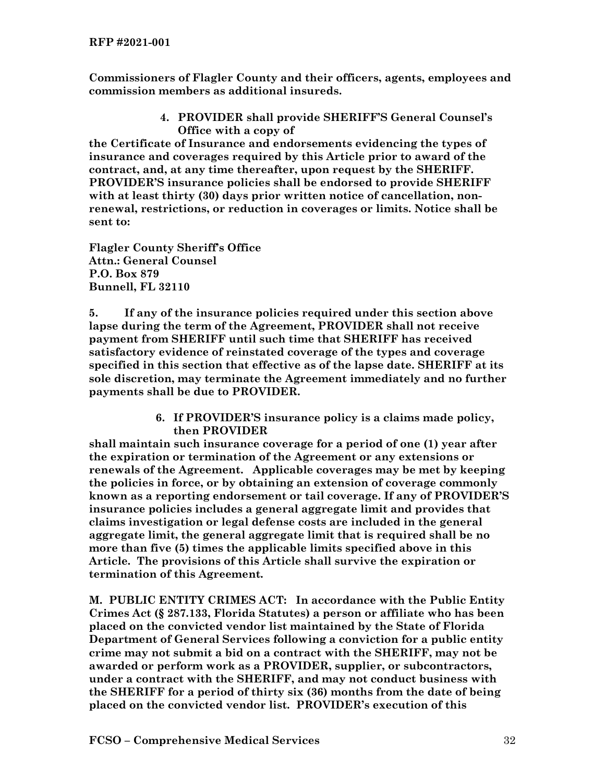**Commissioners of Flagler County and their officers, agents, employees and commission members as additional insureds.**

> **4. PROVIDER shall provide SHERIFF'S General Counsel's Office with a copy of**

**the Certificate of Insurance and endorsements evidencing the types of insurance and coverages required by this Article prior to award of the contract, and, at any time thereafter, upon request by the SHERIFF. PROVIDER'S insurance policies shall be endorsed to provide SHERIFF with at least thirty (30) days prior written notice of cancellation, nonrenewal, restrictions, or reduction in coverages or limits. Notice shall be sent to:**

**Flagler County Sheriff's Office Attn.: General Counsel P.O. Box 879 Bunnell, FL 32110**

**5. If any of the insurance policies required under this section above lapse during the term of the Agreement, PROVIDER shall not receive payment from SHERIFF until such time that SHERIFF has received satisfactory evidence of reinstated coverage of the types and coverage specified in this section that effective as of the lapse date. SHERIFF at its sole discretion, may terminate the Agreement immediately and no further payments shall be due to PROVIDER.** 

> **6. If PROVIDER'S insurance policy is a claims made policy, then PROVIDER**

**shall maintain such insurance coverage for a period of one (1) year after the expiration or termination of the Agreement or any extensions or renewals of the Agreement. Applicable coverages may be met by keeping the policies in force, or by obtaining an extension of coverage commonly known as a reporting endorsement or tail coverage. If any of PROVIDER'S insurance policies includes a general aggregate limit and provides that claims investigation or legal defense costs are included in the general aggregate limit, the general aggregate limit that is required shall be no more than five (5) times the applicable limits specified above in this Article. The provisions of this Article shall survive the expiration or termination of this Agreement.**

**M. PUBLIC ENTITY CRIMES ACT: In accordance with the Public Entity Crimes Act (§ 287.133, Florida Statutes) a person or affiliate who has been placed on the convicted vendor list maintained by the State of Florida Department of General Services following a conviction for a public entity crime may not submit a bid on a contract with the SHERIFF, may not be awarded or perform work as a PROVIDER, supplier, or subcontractors, under a contract with the SHERIFF, and may not conduct business with the SHERIFF for a period of thirty six (36) months from the date of being placed on the convicted vendor list. PROVIDER's execution of this**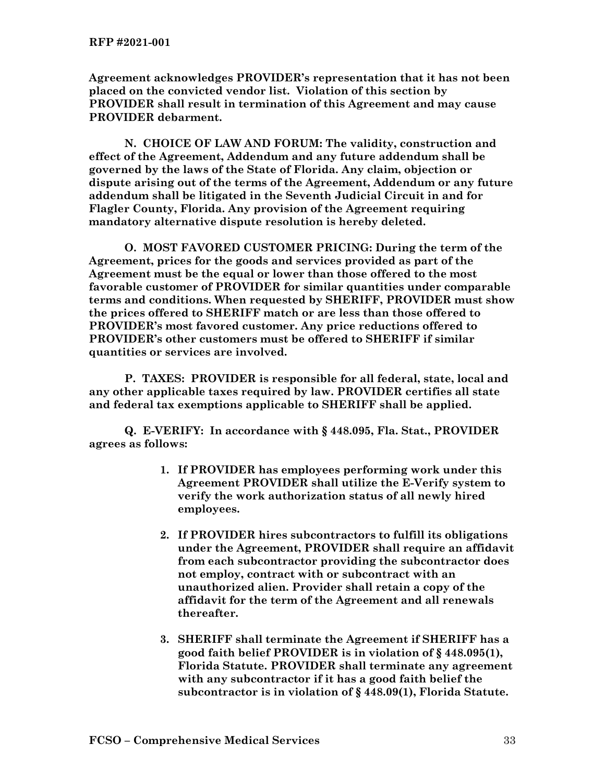**Agreement acknowledges PROVIDER's representation that it has not been placed on the convicted vendor list. Violation of this section by PROVIDER shall result in termination of this Agreement and may cause PROVIDER debarment.**

**N. CHOICE OF LAW AND FORUM: The validity, construction and effect of the Agreement, Addendum and any future addendum shall be governed by the laws of the State of Florida. Any claim, objection or dispute arising out of the terms of the Agreement, Addendum or any future addendum shall be litigated in the Seventh Judicial Circuit in and for Flagler County, Florida. Any provision of the Agreement requiring mandatory alternative dispute resolution is hereby deleted.** 

**O. MOST FAVORED CUSTOMER PRICING: During the term of the Agreement, prices for the goods and services provided as part of the Agreement must be the equal or lower than those offered to the most favorable customer of PROVIDER for similar quantities under comparable terms and conditions. When requested by SHERIFF, PROVIDER must show the prices offered to SHERIFF match or are less than those offered to PROVIDER's most favored customer. Any price reductions offered to PROVIDER's other customers must be offered to SHERIFF if similar quantities or services are involved.** 

**P. TAXES: PROVIDER is responsible for all federal, state, local and any other applicable taxes required by law. PROVIDER certifies all state and federal tax exemptions applicable to SHERIFF shall be applied.** 

**Q. E-VERIFY: In accordance with § 448.095, Fla. Stat., PROVIDER agrees as follows:**

- **1. If PROVIDER has employees performing work under this Agreement PROVIDER shall utilize the E-Verify system to verify the work authorization status of all newly hired employees.**
- **2. If PROVIDER hires subcontractors to fulfill its obligations under the Agreement, PROVIDER shall require an affidavit from each subcontractor providing the subcontractor does not employ, contract with or subcontract with an unauthorized alien. Provider shall retain a copy of the affidavit for the term of the Agreement and all renewals thereafter.**
- **3. SHERIFF shall terminate the Agreement if SHERIFF has a good faith belief PROVIDER is in violation of § 448.095(1), Florida Statute. PROVIDER shall terminate any agreement with any subcontractor if it has a good faith belief the subcontractor is in violation of § 448.09(1), Florida Statute.**